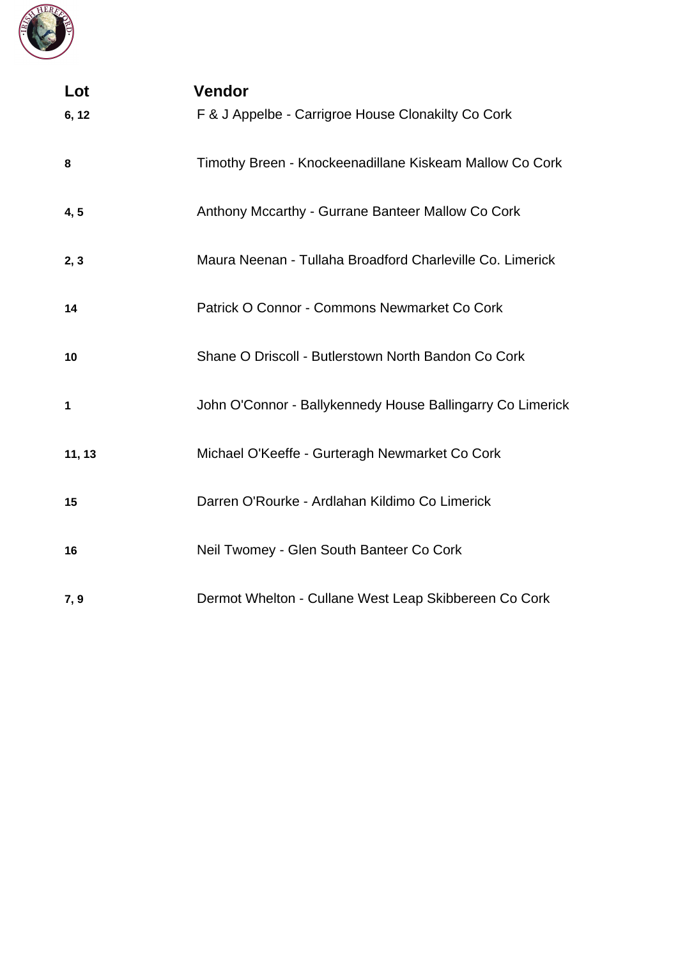

| Lot         | <b>Vendor</b>                                              |
|-------------|------------------------------------------------------------|
| 6, 12       | F & J Appelbe - Carrigroe House Clonakilty Co Cork         |
| 8           | Timothy Breen - Knockeenadillane Kiskeam Mallow Co Cork    |
| 4, 5        | Anthony Mccarthy - Gurrane Banteer Mallow Co Cork          |
| 2, 3        | Maura Neenan - Tullaha Broadford Charleville Co. Limerick  |
| 14          | Patrick O Connor - Commons Newmarket Co Cork               |
| 10          | Shane O Driscoll - Butlerstown North Bandon Co Cork        |
| $\mathbf 1$ | John O'Connor - Ballykennedy House Ballingarry Co Limerick |
| 11, 13      | Michael O'Keeffe - Gurteragh Newmarket Co Cork             |
| 15          | Darren O'Rourke - Ardlahan Kildimo Co Limerick             |
| 16          | Neil Twomey - Glen South Banteer Co Cork                   |
| 7,9         | Dermot Whelton - Cullane West Leap Skibbereen Co Cork      |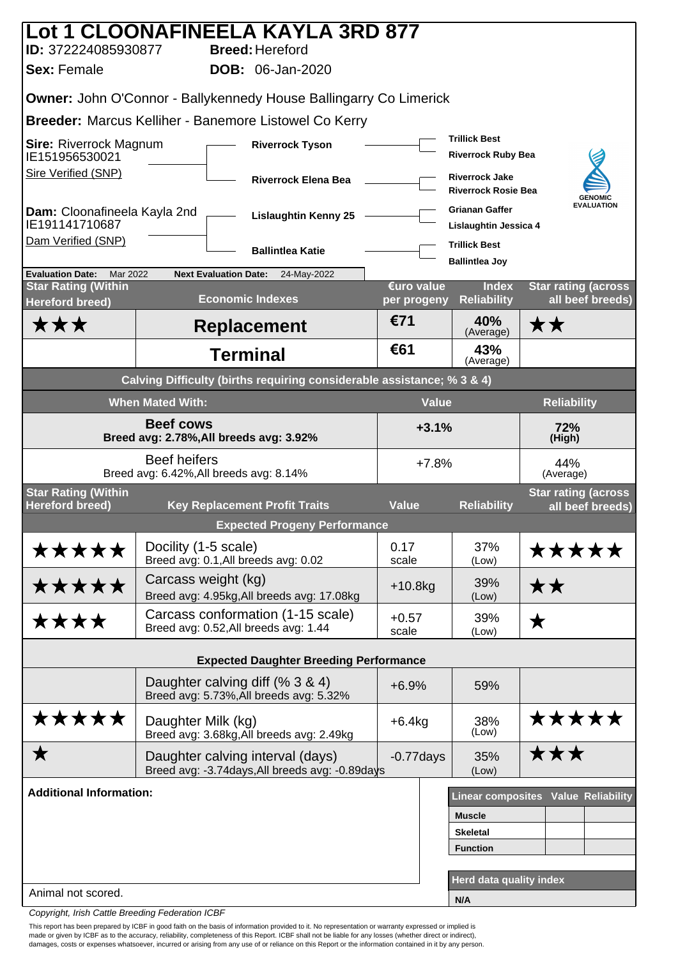|                                                                        |                         | Lot 1 CLOONAFINEELA KAYLA 3RD 877                                                   |  |                                    |                                                     |                                                |  |
|------------------------------------------------------------------------|-------------------------|-------------------------------------------------------------------------------------|--|------------------------------------|-----------------------------------------------------|------------------------------------------------|--|
| ID: 372224085930877<br><b>Sex: Female</b>                              |                         | <b>Breed: Hereford</b><br><b>DOB:</b> 06-Jan-2020                                   |  |                                    |                                                     |                                                |  |
|                                                                        |                         |                                                                                     |  |                                    |                                                     |                                                |  |
|                                                                        |                         | <b>Owner: John O'Connor - Ballykennedy House Ballingarry Co Limerick</b>            |  |                                    |                                                     |                                                |  |
|                                                                        |                         | <b>Breeder: Marcus Kelliher - Banemore Listowel Co Kerry</b>                        |  |                                    | <b>Trillick Best</b>                                |                                                |  |
| <b>Sire: Riverrock Magnum</b><br>IE151956530021                        |                         | <b>Riverrock Tyson</b>                                                              |  |                                    | <b>Riverrock Ruby Bea</b>                           |                                                |  |
| <b>Sire Verified (SNP)</b>                                             |                         | <b>Riverrock Elena Bea</b>                                                          |  |                                    | <b>Riverrock Jake</b><br><b>Riverrock Rosie Bea</b> | <b>GENOMIC</b>                                 |  |
| Dam: Cloonafineela Kayla 2nd<br>IE191141710687                         |                         | <b>Lislaughtin Kenny 25</b>                                                         |  |                                    | <b>Grianan Gaffer</b><br>Lislaughtin Jessica 4      | <b>EVALUATION</b>                              |  |
| Dam Verified (SNP)                                                     |                         | <b>Ballintlea Katie</b>                                                             |  |                                    | <b>Trillick Best</b><br><b>Ballintlea Joy</b>       |                                                |  |
| <b>Evaluation Date:</b><br>Mar 2022                                    |                         | <b>Next Evaluation Date:</b><br>24-May-2022                                         |  |                                    |                                                     |                                                |  |
| <b>Star Rating (Within</b><br><b>Hereford breed)</b>                   |                         | <b>Economic Indexes</b>                                                             |  | €uro value<br>per progeny          | <b>Index</b><br><b>Reliability</b>                  | <b>Star rating (across</b><br>all beef breeds) |  |
| <b>***</b>                                                             |                         | <b>Replacement</b>                                                                  |  | €71                                | 40%<br>(Average)                                    | ★★                                             |  |
|                                                                        |                         | <b>Terminal</b>                                                                     |  | €61                                | 43%<br>(Average)                                    |                                                |  |
| Calving Difficulty (births requiring considerable assistance; % 3 & 4) |                         |                                                                                     |  |                                    |                                                     |                                                |  |
|                                                                        | <b>When Mated With:</b> |                                                                                     |  | <b>Value</b>                       |                                                     | <b>Reliability</b>                             |  |
| <b>Beef cows</b><br>Breed avg: 2.78%, All breeds avg: 3.92%            |                         |                                                                                     |  | $+3.1%$<br>72%<br>(High)           |                                                     |                                                |  |
|                                                                        | <b>Beef heifers</b>     | Breed avg: 6.42%, All breeds avg: 8.14%                                             |  | $+7.8%$                            |                                                     | 44%<br>(Average)                               |  |
| <b>Star Rating (Within</b><br><b>Hereford breed)</b>                   |                         | <b>Key Replacement Profit Traits</b>                                                |  | <b>Value</b><br><b>Reliability</b> |                                                     | <b>Star rating (across</b><br>all beef breeds) |  |
|                                                                        |                         | <b>Expected Progeny Performance</b>                                                 |  |                                    |                                                     |                                                |  |
| *****                                                                  | Docility (1-5 scale)    | Breed avg: 0.1, All breeds avg: 0.02                                                |  | 0.17<br>scale                      | 37%<br>(Low)                                        | *****                                          |  |
| *****                                                                  |                         | Carcass weight (kg)<br>Breed avg: 4.95kg, All breeds avg: 17.08kg                   |  | $+10.8$ kg                         | 39%<br>(Low)                                        | **                                             |  |
| ****                                                                   |                         | Carcass conformation (1-15 scale)<br>Breed avg: 0.52, All breeds avg: 1.44          |  | $+0.57$<br>scale                   | 39%<br>(Low)                                        | ★                                              |  |
|                                                                        |                         | <b>Expected Daughter Breeding Performance</b>                                       |  |                                    |                                                     |                                                |  |
|                                                                        |                         | Daughter calving diff (% 3 & 4)<br>Breed avg: 5.73%, All breeds avg: 5.32%          |  | $+6.9%$                            | 59%                                                 |                                                |  |
| *****                                                                  | Daughter Milk (kg)      | Breed avg: 3.68kg, All breeds avg: 2.49kg                                           |  | $+6.4kg$                           | 38%<br>(Low)                                        | *****                                          |  |
| ★                                                                      |                         | Daughter calving interval (days)<br>Breed avg: -3.74days, All breeds avg: -0.89days |  | $-0.77$ days                       | 35%<br>(Low)                                        | ★★★                                            |  |
| <b>Additional Information:</b>                                         |                         |                                                                                     |  |                                    |                                                     | <b>Linear composites Value Reliability</b>     |  |
|                                                                        |                         |                                                                                     |  |                                    | <b>Muscle</b>                                       |                                                |  |
|                                                                        |                         |                                                                                     |  |                                    | <b>Skeletal</b>                                     |                                                |  |
|                                                                        |                         |                                                                                     |  |                                    | <b>Function</b>                                     |                                                |  |
| Animal not scored.                                                     |                         |                                                                                     |  |                                    | Herd data quality index<br>N/A                      |                                                |  |
|                                                                        |                         |                                                                                     |  |                                    |                                                     |                                                |  |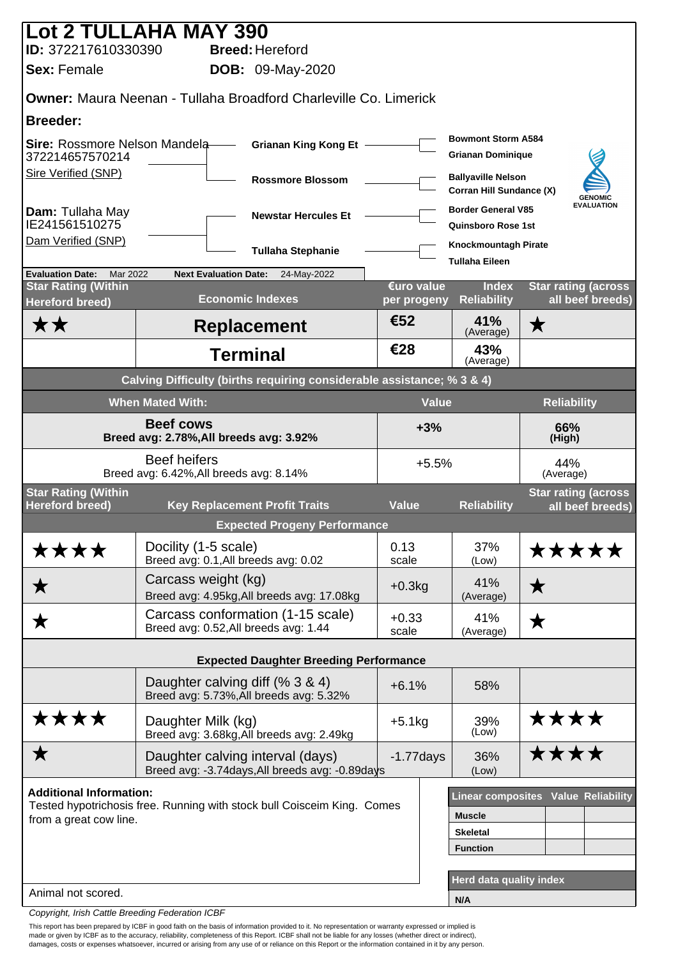|                                                          | <b>Lot 2 TULLAHA MAY 390</b>                                                        |                  |                                                                                |                                                 |
|----------------------------------------------------------|-------------------------------------------------------------------------------------|------------------|--------------------------------------------------------------------------------|-------------------------------------------------|
| ID: 372217610330390                                      | <b>Breed: Hereford</b>                                                              |                  |                                                                                |                                                 |
| <b>Sex: Female</b>                                       | <b>DOB:</b> 09-May-2020                                                             |                  |                                                                                |                                                 |
|                                                          | <b>Owner: Maura Neenan - Tullaha Broadford Charleville Co. Limerick</b>             |                  |                                                                                |                                                 |
| <b>Breeder:</b>                                          |                                                                                     |                  |                                                                                |                                                 |
| Sire: Rossmore Nelson Mandela-<br>372214657570214        | <b>Grianan King Kong Et -</b>                                                       |                  | <b>Bowmont Storm A584</b><br><b>Grianan Dominique</b>                          |                                                 |
| Sire Verified (SNP)                                      | <b>Rossmore Blossom</b>                                                             |                  | <b>Ballyaville Nelson</b><br>Corran Hill Sundance (X)                          | <b>GENOMIC</b>                                  |
| Dam: Tullaha May<br>IE241561510275                       | <b>Newstar Hercules Et</b>                                                          |                  | <b>Border General V85</b><br><b>Quinsboro Rose 1st</b>                         | <b>EVALUATION</b>                               |
| Dam Verified (SNP)                                       | <b>Tullaha Stephanie</b>                                                            |                  | Knockmountagh Pirate<br><b>Tullaha Eileen</b>                                  |                                                 |
| <b>Evaluation Date:</b><br>Mar 2022                      | <b>Next Evaluation Date:</b><br>24-May-2022                                         | €uro value       |                                                                                |                                                 |
| <b>Star Rating (Within</b><br><b>Hereford breed)</b>     | <b>Economic Indexes</b>                                                             | per progeny      | <b>Index</b><br><b>Reliability</b>                                             | <b>Star rating (across)</b><br>all beef breeds) |
| <b>**</b>                                                | <b>Replacement</b>                                                                  | €52              | 41%<br>(Average)                                                               | $\bigstar$                                      |
|                                                          | <b>Terminal</b>                                                                     | €28              | 43%<br>(Average)                                                               |                                                 |
|                                                          | Calving Difficulty (births requiring considerable assistance; % 3 & 4)              |                  |                                                                                |                                                 |
|                                                          | <b>When Mated With:</b>                                                             | <b>Value</b>     |                                                                                | <b>Reliability</b>                              |
| Breed avg: 2.78%, All breeds avg: 3.92%                  | $+3%$                                                                               |                  | 66%<br>(High)                                                                  |                                                 |
| Breed avg: 6.42%, All breeds avg: 8.14%                  | $+5.5%$                                                                             |                  | 44%<br>(Average)                                                               |                                                 |
| <b>Star Rating (Within</b><br><b>Hereford breed)</b>     | <b>Key Replacement Profit Traits</b>                                                | <b>Value</b>     | <b>Reliability</b>                                                             | <b>Star rating (across)</b><br>all beef breeds) |
|                                                          | <b>Expected Progeny Performance</b>                                                 |                  |                                                                                |                                                 |
| ****                                                     | Docility (1-5 scale)<br>Breed avg: 0.1, All breeds avg: 0.02                        | 0.13<br>scale    | 37%<br>(Low)                                                                   | <b>*****</b>                                    |
| ★                                                        | Carcass weight (kg)<br>Breed avg: 4.95kg, All breeds avg: 17.08kg                   | $+0.3kg$         | 41%<br>(Average)                                                               | $\bigstar$                                      |
| ★                                                        | Carcass conformation (1-15 scale)<br>Breed avg: 0.52, All breeds avg: 1.44          | $+0.33$<br>scale | 41%<br>(Average)                                                               | ★                                               |
|                                                          | <b>Expected Daughter Breeding Performance</b>                                       |                  |                                                                                |                                                 |
|                                                          | Daughter calving diff (% 3 & 4)<br>Breed avg: 5.73%, All breeds avg: 5.32%          | $+6.1%$          | 58%                                                                            |                                                 |
| ****                                                     | Daughter Milk (kg)<br>Breed avg: 3.68kg, All breeds avg: 2.49kg                     | $+5.1kg$         | 39%<br>(Low)                                                                   | ****                                            |
| ★                                                        | Daughter calving interval (days)<br>Breed avg: -3.74days, All breeds avg: -0.89days | $-1.77$ days     | 36%<br>(Low)                                                                   | ****                                            |
| <b>Additional Information:</b><br>from a great cow line. | Tested hypotrichosis free. Running with stock bull Coisceim King. Comes             |                  | <b>Muscle</b><br><b>Skeletal</b><br><b>Function</b><br>Herd data quality index | <b>Linear composites Value Reliability</b>      |
| Animal not scored.                                       |                                                                                     |                  | N/A                                                                            |                                                 |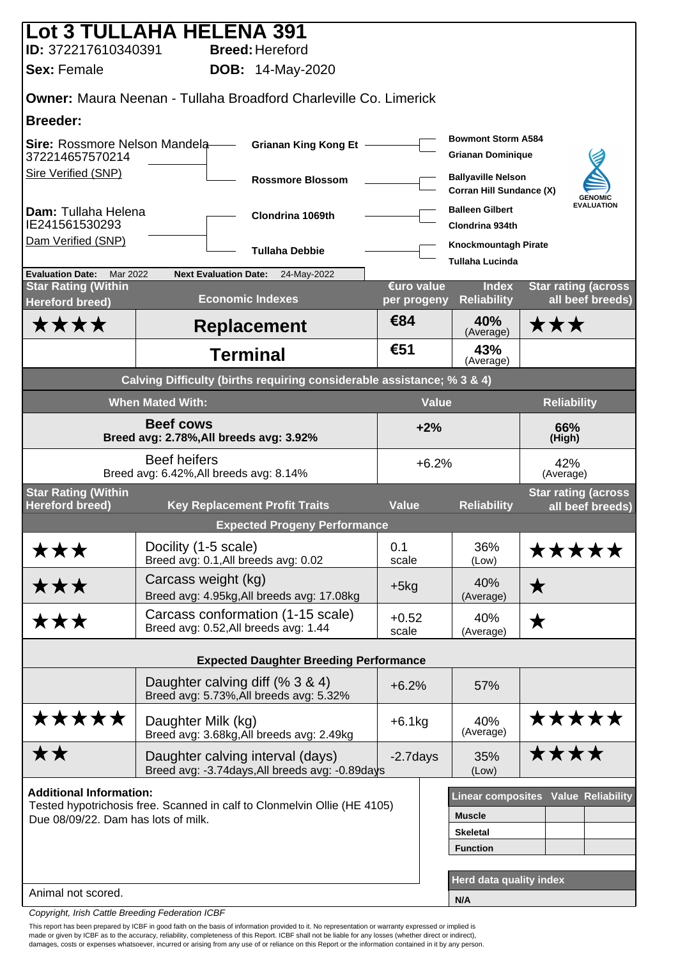| Lot 3 TULLAHA HELENA 391                                    |                                                                |                                                                                     |                           |                                                       |                                                 |
|-------------------------------------------------------------|----------------------------------------------------------------|-------------------------------------------------------------------------------------|---------------------------|-------------------------------------------------------|-------------------------------------------------|
| ID: 372217610340391<br><b>Sex: Female</b>                   |                                                                | <b>Breed: Hereford</b>                                                              |                           |                                                       |                                                 |
|                                                             |                                                                | <b>DOB:</b> 14-May-2020                                                             |                           |                                                       |                                                 |
|                                                             |                                                                | <b>Owner:</b> Maura Neenan - Tullaha Broadford Charleville Co. Limerick             |                           |                                                       |                                                 |
| <b>Breeder:</b>                                             |                                                                |                                                                                     |                           |                                                       |                                                 |
| Sire: Rossmore Nelson Mandela-<br>372214657570214           |                                                                | <b>Grianan King Kong Et -</b>                                                       |                           | <b>Bowmont Storm A584</b><br><b>Grianan Dominique</b> |                                                 |
| Sire Verified (SNP)                                         |                                                                | <b>Rossmore Blossom</b>                                                             |                           | <b>Ballyaville Nelson</b><br>Corran Hill Sundance (X) | <b>GENOMIC</b>                                  |
| Dam: Tullaha Helena<br>IE241561530293                       |                                                                | Clondrina 1069th                                                                    |                           | <b>Balleen Gilbert</b><br><b>Clondrina 934th</b>      | <b>EVALUATION</b>                               |
| Dam Verified (SNP)                                          |                                                                | <b>Tullaha Debbie</b>                                                               |                           | <b>Knockmountagh Pirate</b><br><b>Tullaha Lucinda</b> |                                                 |
| Mar 2022<br><b>Evaluation Date:</b>                         | <b>Next Evaluation Date:</b>                                   | 24-May-2022                                                                         |                           |                                                       |                                                 |
| <b>Star Rating (Within</b><br><b>Hereford breed)</b>        |                                                                | <b>Economic Indexes</b>                                                             | €uro value<br>per progeny | <b>Index</b><br><b>Reliability</b>                    | <b>Star rating (across)</b><br>all beef breeds) |
| <b>****</b>                                                 |                                                                | <b>Replacement</b>                                                                  | €84                       | 40%<br>(Average)                                      | ★★★                                             |
|                                                             |                                                                | <b>Terminal</b>                                                                     | €51                       | 43%<br>(Average)                                      |                                                 |
|                                                             |                                                                | Calving Difficulty (births requiring considerable assistance; % 3 & 4)              |                           |                                                       |                                                 |
|                                                             | <b>When Mated With:</b>                                        |                                                                                     |                           | <b>Value</b><br><b>Reliability</b>                    |                                                 |
| <b>Beef cows</b><br>Breed avg: 2.78%, All breeds avg: 3.92% |                                                                |                                                                                     | $+2%$                     |                                                       | 66%<br>(High)                                   |
|                                                             | <b>Beef heifers</b><br>Breed avg: 6.42%, All breeds avg: 8.14% |                                                                                     |                           | $+6.2%$                                               | 42%<br>(Average)                                |
| <b>Star Rating (Within</b><br><b>Hereford breed)</b>        |                                                                | <b>Key Replacement Profit Traits</b>                                                | <b>Value</b>              | <b>Reliability</b>                                    | <b>Star rating (across)</b>                     |
|                                                             |                                                                | <b>Expected Progeny Performance</b>                                                 |                           |                                                       | all beef breeds)                                |
|                                                             | Docility (1-5 scale)                                           |                                                                                     | 0.1                       | 36%                                                   | *****                                           |
| ★★★                                                         |                                                                | Breed avg: 0.1, All breeds avg: 0.02                                                | scale                     | (Low)                                                 |                                                 |
| ★★★                                                         | Carcass weight (kg)                                            | Breed avg: 4.95kg, All breeds avg: 17.08kg                                          | $+5kg$                    | 40%<br>(Average)                                      | $\bigstar$                                      |
| ★★★                                                         |                                                                | Carcass conformation (1-15 scale)<br>Breed avg: 0.52, All breeds avg: 1.44          | $+0.52$<br>scale          | 40%<br>(Average)                                      | $\bigstar$                                      |
|                                                             |                                                                | <b>Expected Daughter Breeding Performance</b>                                       |                           |                                                       |                                                 |
|                                                             |                                                                | Daughter calving diff (% 3 & 4)                                                     |                           |                                                       |                                                 |
|                                                             |                                                                | Breed avg: 5.73%, All breeds avg: 5.32%                                             | $+6.2%$                   | 57%                                                   |                                                 |
| *****                                                       | Daughter Milk (kg)                                             | Breed avg: 3.68kg, All breeds avg: 2.49kg                                           | $+6.1kg$                  | 40%<br>(Average)                                      | *****                                           |
| ★★                                                          |                                                                | Daughter calving interval (days)<br>Breed avg: -3.74days, All breeds avg: -0.89days | $-2.7$ days               | 35%<br>(Low)                                          | ****                                            |
| <b>Additional Information:</b>                              |                                                                |                                                                                     |                           |                                                       | <b>Linear composites Value Reliability</b>      |
| Due 08/09/22. Dam has lots of milk.                         |                                                                | Tested hypotrichosis free. Scanned in calf to Clonmelvin Ollie (HE 4105)            |                           | <b>Muscle</b>                                         |                                                 |
|                                                             |                                                                |                                                                                     |                           | <b>Skeletal</b>                                       |                                                 |
|                                                             |                                                                |                                                                                     |                           | <b>Function</b>                                       |                                                 |
|                                                             |                                                                |                                                                                     |                           | Herd data quality index                               |                                                 |
| Animal not scored.                                          |                                                                |                                                                                     |                           | N/A                                                   |                                                 |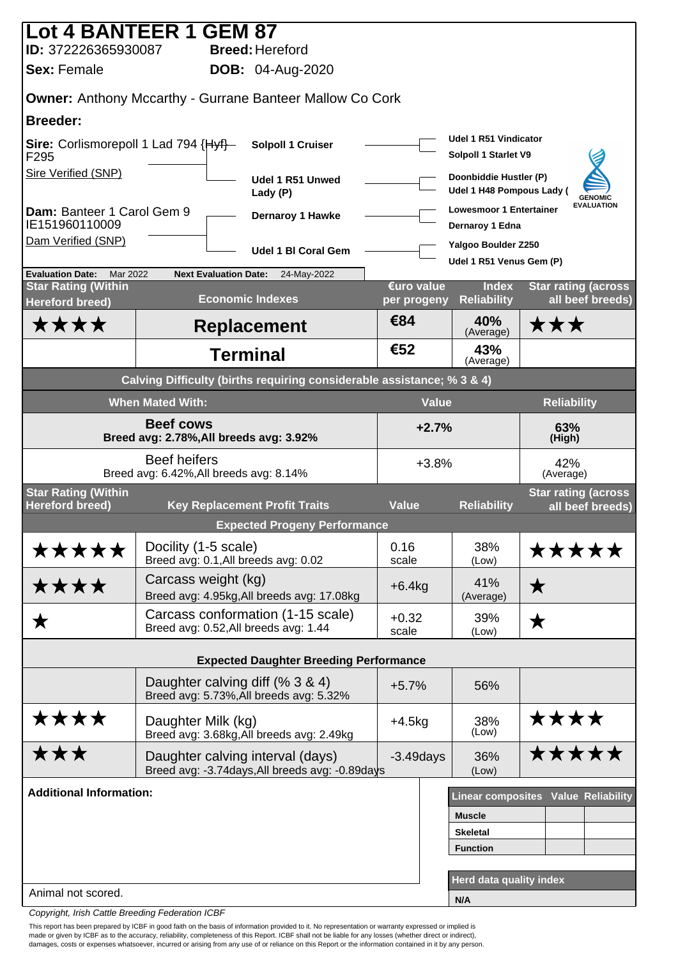| Lot 4 BANTEER 1 GEM 87                                            |                                                                |                                                                        |                          |                                                     |                                                |
|-------------------------------------------------------------------|----------------------------------------------------------------|------------------------------------------------------------------------|--------------------------|-----------------------------------------------------|------------------------------------------------|
| ID: 372226365930087                                               |                                                                | <b>Breed: Hereford</b>                                                 |                          |                                                     |                                                |
| <b>Sex: Female</b>                                                |                                                                | <b>DOB:</b> 04-Aug-2020                                                |                          |                                                     |                                                |
|                                                                   |                                                                | <b>Owner: Anthony Mccarthy - Gurrane Banteer Mallow Co Cork</b>        |                          |                                                     |                                                |
| <b>Breeder:</b>                                                   |                                                                |                                                                        |                          |                                                     |                                                |
| Sire: Corlismorepoll 1 Lad 794 {Hyf}-<br>F <sub>295</sub>         |                                                                | <b>Solpoll 1 Cruiser</b>                                               |                          | Udel 1 R51 Vindicator<br>Solpoll 1 Starlet V9       |                                                |
| Sire Verified (SNP)                                               |                                                                | Udel 1 R51 Unwed<br>Lady (P)                                           |                          | Doonbiddie Hustler (P)<br>Udel 1 H48 Pompous Lady ( | <b>GENOMIC</b>                                 |
| Dam: Banteer 1 Carol Gem 9<br>IE151960110009                      |                                                                | Dernaroy 1 Hawke                                                       |                          | <b>Lowesmoor 1 Entertainer</b><br>Dernaroy 1 Edna   | <b>EVALUATION</b>                              |
| Dam Verified (SNP)                                                |                                                                | <b>Udel 1 BI Coral Gem</b>                                             |                          | Yalgoo Boulder Z250<br>Udel 1 R51 Venus Gem (P)     |                                                |
| <b>Evaluation Date:</b><br>Mar 2022<br><b>Star Rating (Within</b> | <b>Next Evaluation Date:</b>                                   | 24-May-2022                                                            | €uro value               | <b>Index</b>                                        | <b>Star rating (across</b>                     |
| <b>Hereford breed)</b>                                            |                                                                | <b>Economic Indexes</b>                                                | per progeny              | <b>Reliability</b>                                  | all beef breeds)                               |
| ★★★★                                                              |                                                                | <b>Replacement</b>                                                     | €84                      | 40%<br>(Average)                                    | ★★★                                            |
|                                                                   |                                                                | <b>Terminal</b>                                                        | €52                      | 43%<br>(Average)                                    |                                                |
|                                                                   |                                                                | Calving Difficulty (births requiring considerable assistance; % 3 & 4) |                          |                                                     |                                                |
|                                                                   | <b>When Mated With:</b>                                        |                                                                        | <b>Value</b>             |                                                     | <b>Reliability</b>                             |
| <b>Beef cows</b><br>Breed avg: 2.78%, All breeds avg: 3.92%       |                                                                |                                                                        | $+2.7%$<br>63%<br>(High) |                                                     |                                                |
|                                                                   | <b>Beef heifers</b><br>Breed avg: 6.42%, All breeds avg: 8.14% |                                                                        | $+3.8%$                  |                                                     | 42%<br>(Average)                               |
| <b>Star Rating (Within</b><br><b>Hereford breed)</b>              |                                                                | <b>Key Replacement Profit Traits</b>                                   | <b>Value</b>             | <b>Reliability</b>                                  | <b>Star rating (across</b><br>all beef breeds) |
|                                                                   |                                                                | <b>Expected Progeny Performance</b>                                    |                          |                                                     |                                                |
| *****                                                             | Docility (1-5 scale)<br>Breed avg: 0.1, All breeds avg: 0.02   |                                                                        | 0.16<br>scale            | 38%<br>(Low)                                        | *****                                          |
| ****                                                              | Carcass weight (kg)                                            | Breed avg: 4.95kg, All breeds avg: 17.08kg                             | $+6.4kg$                 | 41%<br>(Average)                                    | ★                                              |
| ★                                                                 | Breed avg: 0.52, All breeds avg: 1.44                          | Carcass conformation (1-15 scale)                                      | $+0.32$<br>scale         | 39%<br>(Low)                                        | ★                                              |
|                                                                   |                                                                |                                                                        |                          |                                                     |                                                |
|                                                                   |                                                                | <b>Expected Daughter Breeding Performance</b>                          |                          |                                                     |                                                |
|                                                                   | Daughter calving diff (% 3 & 4)                                | Breed avg: 5.73%, All breeds avg: 5.32%                                | $+5.7%$                  | 56%                                                 |                                                |
| ****                                                              | Daughter Milk (kg)                                             | Breed avg: 3.68kg, All breeds avg: 2.49kg                              | $+4.5kg$                 | 38%<br>(Low)                                        | ****                                           |
| ★★★                                                               | Daughter calving interval (days)                               | Breed avg: -3.74days, All breeds avg: -0.89days                        | $-3.49$ days             | 36%<br>(Low)                                        | *****                                          |
| <b>Additional Information:</b>                                    |                                                                |                                                                        |                          |                                                     | Linear composites Value Reliability            |
|                                                                   |                                                                |                                                                        |                          | <b>Muscle</b>                                       |                                                |
|                                                                   |                                                                |                                                                        |                          | <b>Skeletal</b>                                     |                                                |
|                                                                   |                                                                |                                                                        |                          | <b>Function</b>                                     |                                                |
|                                                                   |                                                                |                                                                        |                          | Herd data quality index                             |                                                |
| Animal not scored.                                                |                                                                |                                                                        |                          | N/A                                                 |                                                |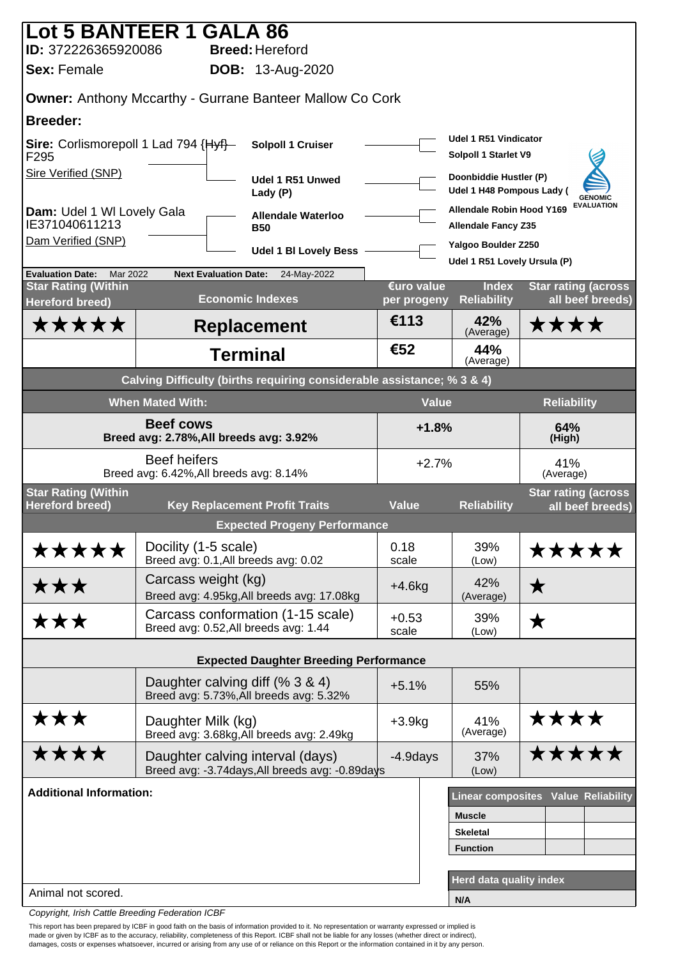| Lot 5 BANTEER 1 GALA 86                                     |                                                                |                                                                        |                           |                                                                |                                                |
|-------------------------------------------------------------|----------------------------------------------------------------|------------------------------------------------------------------------|---------------------------|----------------------------------------------------------------|------------------------------------------------|
| ID: 372226365920086<br><b>Sex: Female</b>                   |                                                                | <b>Breed: Hereford</b>                                                 |                           |                                                                |                                                |
|                                                             |                                                                | <b>DOB:</b> 13-Aug-2020                                                |                           |                                                                |                                                |
|                                                             |                                                                | <b>Owner: Anthony Mccarthy - Gurrane Banteer Mallow Co Cork</b>        |                           |                                                                |                                                |
| <b>Breeder:</b>                                             |                                                                |                                                                        |                           | Udel 1 R51 Vindicator                                          |                                                |
| Sire: Corlismorepoll 1 Lad 794 {Hyf}-<br>F295               |                                                                | Solpoll 1 Cruiser                                                      |                           | Solpoll 1 Starlet V9                                           |                                                |
| Sire Verified (SNP)                                         |                                                                | Udel 1 R51 Unwed<br>Lady (P)                                           |                           | Doonbiddie Hustler (P)<br>Udel 1 H48 Pompous Lady (            | <b>GENOMIC</b>                                 |
| Dam: Udel 1 WI Lovely Gala<br>IE371040611213                |                                                                | <b>Allendale Waterloo</b><br><b>B50</b>                                |                           | <b>Allendale Robin Hood Y169</b><br><b>Allendale Fancy Z35</b> | <b>EVALUATION</b>                              |
| Dam Verified (SNP)                                          |                                                                | <b>Udel 1 BI Lovely Bess</b>                                           |                           | Yalgoo Boulder Z250                                            |                                                |
| <b>Evaluation Date:</b><br>Mar 2022                         | <b>Next Evaluation Date:</b>                                   | 24-May-2022                                                            |                           | Udel 1 R51 Lovely Ursula (P)                                   |                                                |
| <b>Star Rating (Within</b><br><b>Hereford breed)</b>        |                                                                | <b>Economic Indexes</b>                                                | €uro value<br>per progeny | <b>Index</b><br><b>Reliability</b>                             | <b>Star rating (across</b><br>all beef breeds) |
| *****                                                       |                                                                | <b>Replacement</b>                                                     | €113                      | 42%<br>(Average)                                               | ****                                           |
|                                                             |                                                                | <b>Terminal</b>                                                        | €52                       | 44%<br>(Average)                                               |                                                |
|                                                             |                                                                | Calving Difficulty (births requiring considerable assistance; % 3 & 4) |                           |                                                                |                                                |
|                                                             | <b>When Mated With:</b>                                        |                                                                        | <b>Value</b>              |                                                                | <b>Reliability</b>                             |
| <b>Beef cows</b><br>Breed avg: 2.78%, All breeds avg: 3.92% |                                                                |                                                                        | $+1.8%$<br>64%<br>(High)  |                                                                |                                                |
|                                                             | <b>Beef heifers</b><br>Breed avg: 6.42%, All breeds avg: 8.14% |                                                                        | $+2.7%$                   |                                                                | 41%<br>(Average)                               |
| <b>Star Rating (Within</b><br><b>Hereford breed)</b>        |                                                                | <b>Key Replacement Profit Traits</b>                                   | <b>Value</b>              | <b>Reliability</b>                                             | <b>Star rating (across</b><br>all beef breeds) |
|                                                             |                                                                | <b>Expected Progeny Performance</b>                                    |                           |                                                                |                                                |
| *****                                                       | Docility (1-5 scale)<br>Breed avg: 0.1, All breeds avg: 0.02   |                                                                        | 0.18<br>scale             | 39%<br>(Low)                                                   | <b>*****</b>                                   |
| ★★★                                                         | Carcass weight (kg)                                            | Breed avg: 4.95kg, All breeds avg: 17.08kg                             | $+4.6kg$                  | 42%<br>(Average)                                               | $\bigstar$                                     |
| ★★★                                                         | Breed avg: 0.52, All breeds avg: 1.44                          | Carcass conformation (1-15 scale)                                      | $+0.53$<br>scale          | 39%<br>(Low)                                                   | ★                                              |
|                                                             |                                                                | <b>Expected Daughter Breeding Performance</b>                          |                           |                                                                |                                                |
|                                                             | Daughter calving diff (% 3 & 4)                                |                                                                        |                           |                                                                |                                                |
|                                                             |                                                                | Breed avg: 5.73%, All breeds avg: 5.32%                                | $+5.1%$                   | 55%                                                            |                                                |
| ★★★                                                         | Daughter Milk (kg)                                             | Breed avg: 3.68kg, All breeds avg: 2.49kg                              | $+3.9kg$                  | 41%<br>(Average)                                               | ****                                           |
| ****                                                        | Daughter calving interval (days)                               | Breed avg: -3.74days, All breeds avg: -0.89days                        | $-4.9$ days               | 37%<br>(Low)                                                   | *****                                          |
| <b>Additional Information:</b>                              |                                                                |                                                                        |                           |                                                                | Linear composites Value Reliability            |
|                                                             |                                                                |                                                                        |                           | <b>Muscle</b>                                                  |                                                |
|                                                             |                                                                |                                                                        |                           | <b>Skeletal</b><br><b>Function</b>                             |                                                |
|                                                             |                                                                |                                                                        |                           |                                                                |                                                |
| Animal not scored.                                          |                                                                |                                                                        |                           | Herd data quality index                                        |                                                |
|                                                             |                                                                |                                                                        |                           | N/A                                                            |                                                |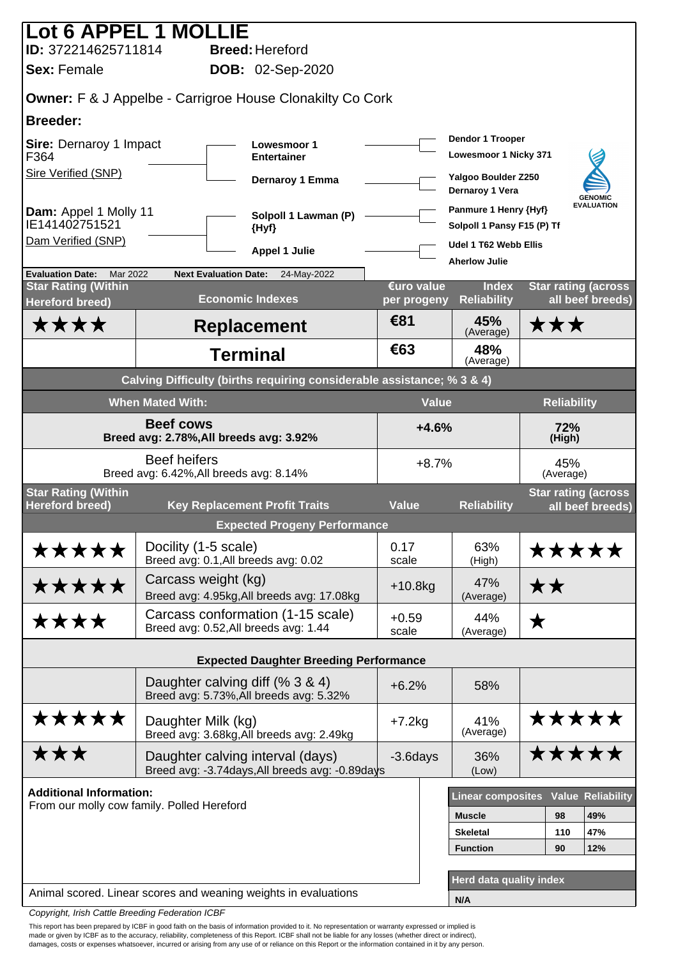|                                                      | Lot 6 APPEL 1 MOLLIE                                                                |                           |                                                     |                    |                                                |
|------------------------------------------------------|-------------------------------------------------------------------------------------|---------------------------|-----------------------------------------------------|--------------------|------------------------------------------------|
| ID: 372214625711814                                  | <b>Breed: Hereford</b>                                                              |                           |                                                     |                    |                                                |
| <b>Sex: Female</b>                                   | <b>DOB: 02-Sep-2020</b>                                                             |                           |                                                     |                    |                                                |
|                                                      | <b>Owner:</b> F & J Appelbe - Carrigroe House Clonakilty Co Cork                    |                           |                                                     |                    |                                                |
| <b>Breeder:</b>                                      |                                                                                     |                           |                                                     |                    |                                                |
| Sire: Dernaroy 1 Impact<br>F364                      | <b>Lowesmoor 1</b><br><b>Entertainer</b>                                            |                           | Dendor 1 Trooper<br>Lowesmoor 1 Nicky 371           |                    |                                                |
| Sire Verified (SNP)                                  | Dernaroy 1 Emma                                                                     |                           | Yalgoo Boulder Z250<br>Dernaroy 1 Vera              |                    | <b>GENOMIC</b>                                 |
| Dam: Appel 1 Molly 11<br>IE141402751521              | Solpoll 1 Lawman (P)<br>{Hyf}                                                       |                           | Panmure 1 Henry {Hyf}<br>Solpoll 1 Pansy F15 (P) Tf |                    | <b>EVALUATION</b>                              |
| Dam Verified (SNP)                                   | <b>Appel 1 Julie</b>                                                                |                           | Udel 1 T62 Webb Ellis                               |                    |                                                |
| <b>Evaluation Date:</b><br>Mar 2022                  | <b>Next Evaluation Date:</b><br>24-May-2022                                         |                           | <b>Aherlow Julie</b>                                |                    |                                                |
| <b>Star Rating (Within</b><br><b>Hereford breed)</b> | <b>Economic Indexes</b>                                                             | €uro value<br>per progeny | <b>Index</b><br><b>Reliability</b>                  |                    | <b>Star rating (across</b><br>all beef breeds) |
| ****                                                 | <b>Replacement</b>                                                                  | €81                       | 45%<br>(Average)                                    | ★★★                |                                                |
|                                                      | <b>Terminal</b>                                                                     | €63                       | 48%<br>(Average)                                    |                    |                                                |
|                                                      | Calving Difficulty (births requiring considerable assistance; % 3 & 4)              |                           |                                                     |                    |                                                |
|                                                      | <b>When Mated With:</b>                                                             | <b>Value</b>              |                                                     | <b>Reliability</b> |                                                |
| Breed avg: 2.78%, All breeds avg: 3.92%              | $+4.6%$<br>72%<br>(High)                                                            |                           |                                                     |                    |                                                |
|                                                      | <b>Beef heifers</b><br>Breed avg: 6.42%, All breeds avg: 8.14%                      | $+8.7%$                   |                                                     | 45%<br>(Average)   |                                                |
| <b>Star Rating (Within</b>                           |                                                                                     |                           |                                                     |                    | <b>Star rating (across</b>                     |
| <b>Hereford breed)</b>                               | <b>Key Replacement Profit Traits</b><br><b>Expected Progeny Performance</b>         | <b>Value</b>              | <b>Reliability</b>                                  |                    | all beef breeds)                               |
| *****                                                | Docility (1-5 scale)                                                                | 0.17                      | 63%                                                 |                    |                                                |
|                                                      | Breed avg: 0.1, All breeds avg: 0.02                                                | scale                     | (High)                                              |                    | *****                                          |
| *****                                                | Carcass weight (kg)<br>Breed avg: 4.95kg, All breeds avg: 17.08kg                   | $+10.8$ kg                | 47%<br>(Average)                                    | ★★                 |                                                |
| ****                                                 | Carcass conformation (1-15 scale)<br>Breed avg: 0.52, All breeds avg: 1.44          | $+0.59$<br>scale          | 44%<br>(Average)                                    | ★                  |                                                |
|                                                      | <b>Expected Daughter Breeding Performance</b>                                       |                           |                                                     |                    |                                                |
|                                                      | Daughter calving diff (% 3 & 4)<br>Breed avg: 5.73%, All breeds avg: 5.32%          | $+6.2%$                   | 58%                                                 |                    |                                                |
| *****                                                | Daughter Milk (kg)<br>Breed avg: 3.68kg, All breeds avg: 2.49kg                     | $+7.2kg$                  | 41%<br>(Average)                                    |                    | *****                                          |
| ★★★                                                  | Daughter calving interval (days)<br>Breed avg: -3.74days, All breeds avg: -0.89days | $-3.6$ days               | 36%<br>(Low)                                        |                    | *****                                          |
| <b>Additional Information:</b>                       |                                                                                     |                           |                                                     |                    |                                                |
|                                                      | From our molly cow family. Polled Hereford                                          |                           | <b>Linear composites</b>                            |                    | <b>Value Reliability</b>                       |
|                                                      |                                                                                     |                           | <b>Muscle</b><br><b>Skeletal</b>                    | 98<br>110          | 49%<br>47%                                     |
|                                                      |                                                                                     |                           | <b>Function</b>                                     | 90                 | 12%                                            |
|                                                      |                                                                                     |                           |                                                     |                    |                                                |
|                                                      | Animal scored. Linear scores and weaning weights in evaluations                     |                           | Herd data quality index<br>N/A                      |                    |                                                |
| Convight Irish Cottle Prooding Eoderation ICDE       |                                                                                     |                           |                                                     |                    |                                                |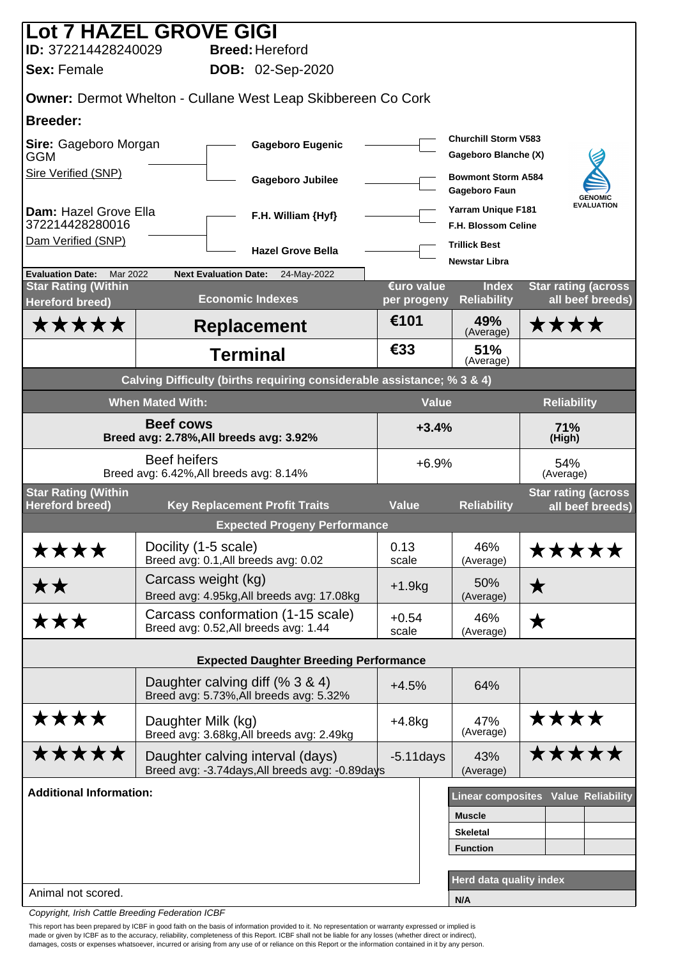| <b>Lot 7 HAZEL GROVE GIGI</b>                                  |                                                              |                                                                        |                           |                                                         |                                                |
|----------------------------------------------------------------|--------------------------------------------------------------|------------------------------------------------------------------------|---------------------------|---------------------------------------------------------|------------------------------------------------|
| ID: 372214428240029                                            |                                                              | <b>Breed: Hereford</b>                                                 |                           |                                                         |                                                |
| <b>Sex: Female</b>                                             |                                                              | <b>DOB: 02-Sep-2020</b>                                                |                           |                                                         |                                                |
|                                                                |                                                              | <b>Owner: Dermot Whelton - Cullane West Leap Skibbereen Co Cork</b>    |                           |                                                         |                                                |
| <b>Breeder:</b>                                                |                                                              |                                                                        |                           |                                                         |                                                |
| Sire: Gageboro Morgan<br><b>GGM</b>                            |                                                              | <b>Gageboro Eugenic</b>                                                |                           | <b>Churchill Storm V583</b><br>Gageboro Blanche (X)     |                                                |
| Sire Verified (SNP)                                            |                                                              | <b>Gageboro Jubilee</b>                                                |                           | <b>Bowmont Storm A584</b><br>Gageboro Faun              | <b>GENOMIC</b>                                 |
| Dam: Hazel Grove Ella<br>372214428280016                       |                                                              | F.H. William {Hyf}                                                     |                           | <b>Yarram Unique F181</b><br><b>F.H. Blossom Celine</b> | <b>EVALUATION</b>                              |
| Dam Verified (SNP)                                             |                                                              | <b>Hazel Grove Bella</b>                                               |                           | <b>Trillick Best</b><br><b>Newstar Libra</b>            |                                                |
| Mar 2022<br><b>Evaluation Date:</b>                            | <b>Next Evaluation Date:</b>                                 | 24-May-2022                                                            |                           |                                                         |                                                |
| <b>Star Rating (Within</b><br><b>Hereford breed)</b>           |                                                              | <b>Economic Indexes</b>                                                | €uro value<br>per progeny | <b>Index</b><br><b>Reliability</b>                      | <b>Star rating (across</b><br>all beef breeds) |
| *****                                                          |                                                              | <b>Replacement</b>                                                     | €101                      | 49%<br>(Average)                                        | ****                                           |
|                                                                |                                                              | <b>Terminal</b>                                                        | €33                       | 51%<br>(Average)                                        |                                                |
|                                                                |                                                              | Calving Difficulty (births requiring considerable assistance; % 3 & 4) |                           |                                                         |                                                |
|                                                                | <b>When Mated With:</b>                                      |                                                                        |                           | <b>Value</b>                                            | <b>Reliability</b>                             |
| <b>Beef cows</b><br>Breed avg: 2.78%, All breeds avg: 3.92%    |                                                              |                                                                        | $+3.4%$                   |                                                         | 71%<br>(High)                                  |
| <b>Beef heifers</b><br>Breed avg: 6.42%, All breeds avg: 8.14% |                                                              |                                                                        | $+6.9%$                   |                                                         | 54%<br>(Average)                               |
| <b>Star Rating (Within</b><br><b>Hereford breed)</b>           |                                                              | <b>Key Replacement Profit Traits</b>                                   | <b>Value</b>              | <b>Reliability</b>                                      | <b>Star rating (across</b><br>all beef breeds) |
|                                                                |                                                              | <b>Expected Progeny Performance</b>                                    |                           |                                                         |                                                |
| ****                                                           | Docility (1-5 scale)<br>Breed avg: 0.1, All breeds avg: 0.02 |                                                                        | 0.13<br>scale             | 46%<br>(Average)                                        | *****                                          |
| ★★                                                             | Carcass weight (kg)                                          | Breed avg: 4.95kg, All breeds avg: 17.08kg                             | $+1.9kg$                  | 50%<br>(Average)                                        | $\bigstar$                                     |
| ★★★                                                            | Breed avg: 0.52, All breeds avg: 1.44                        | Carcass conformation (1-15 scale)                                      | $+0.54$<br>scale          | 46%<br>(Average)                                        | $\bigstar$                                     |
|                                                                |                                                              | <b>Expected Daughter Breeding Performance</b>                          |                           |                                                         |                                                |
|                                                                |                                                              |                                                                        |                           |                                                         |                                                |
|                                                                | Daughter calving diff (% 3 & 4)                              | Breed avg: 5.73%, All breeds avg: 5.32%                                | $+4.5%$                   | 64%                                                     |                                                |
| ****                                                           | Daughter Milk (kg)                                           | Breed avg: 3.68kg, All breeds avg: 2.49kg                              | $+4.8kg$                  | 47%<br>(Average)                                        | ****                                           |
| *****                                                          | Daughter calving interval (days)                             | Breed avg: -3.74days, All breeds avg: -0.89days                        | $-5.11$ days              | 43%<br>(Average)                                        | *****                                          |
| <b>Additional Information:</b>                                 |                                                              |                                                                        |                           |                                                         | Linear composites Value Reliability            |
|                                                                |                                                              |                                                                        |                           | <b>Muscle</b>                                           |                                                |
|                                                                |                                                              |                                                                        |                           | <b>Skeletal</b>                                         |                                                |
|                                                                |                                                              |                                                                        |                           | <b>Function</b>                                         |                                                |
| Animal not scored.                                             |                                                              |                                                                        |                           | Herd data quality index                                 |                                                |
|                                                                |                                                              |                                                                        |                           | N/A                                                     |                                                |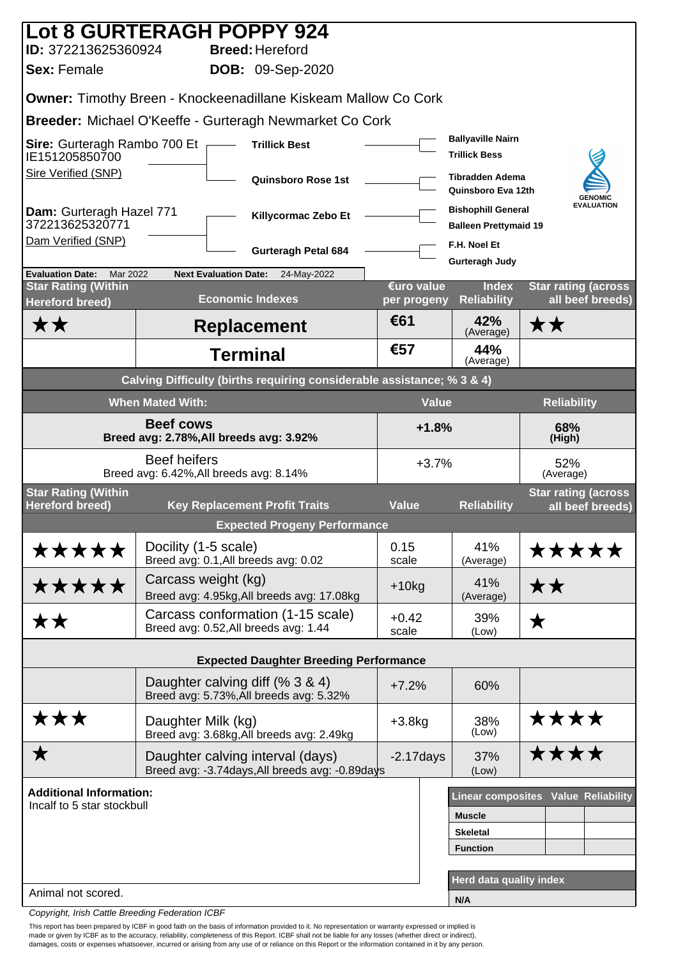|                                                                        | <b>Lot 8 GURTERAGH POPPY 924</b>                                                    |                           |                                                           |                                                 |  |  |  |
|------------------------------------------------------------------------|-------------------------------------------------------------------------------------|---------------------------|-----------------------------------------------------------|-------------------------------------------------|--|--|--|
| ID: 372213625360924                                                    | <b>Breed: Hereford</b>                                                              |                           |                                                           |                                                 |  |  |  |
| <b>Sex: Female</b><br><b>DOB: 09-Sep-2020</b>                          |                                                                                     |                           |                                                           |                                                 |  |  |  |
|                                                                        | <b>Owner: Timothy Breen - Knockeenadillane Kiskeam Mallow Co Cork</b>               |                           |                                                           |                                                 |  |  |  |
|                                                                        | Breeder: Michael O'Keeffe - Gurteragh Newmarket Co Cork                             |                           |                                                           |                                                 |  |  |  |
| Sire: Gurteragh Rambo 700 Et $\Gamma$<br>IE151205850700                | <b>Trillick Best</b>                                                                |                           | <b>Ballyaville Nairn</b><br><b>Trillick Bess</b>          |                                                 |  |  |  |
| Sire Verified (SNP)                                                    | <b>Quinsboro Rose 1st</b>                                                           |                           | <b>Tibradden Adema</b><br>Quinsboro Eva 12th              | <b>GENOMIC</b>                                  |  |  |  |
| Dam: Gurteragh Hazel 771<br>372213625320771                            | Killycormac Zebo Et                                                                 |                           | <b>Bishophill General</b><br><b>Balleen Prettymaid 19</b> | <b>EVALUATION</b>                               |  |  |  |
| Dam Verified (SNP)                                                     | <b>Gurteragh Petal 684</b>                                                          |                           | F.H. Noel Et<br><b>Gurteragh Judy</b>                     |                                                 |  |  |  |
| <b>Evaluation Date:</b><br>Mar 2022                                    | <b>Next Evaluation Date:</b><br>24-May-2022                                         |                           |                                                           |                                                 |  |  |  |
| <b>Star Rating (Within</b><br><b>Hereford breed)</b>                   | <b>Economic Indexes</b>                                                             | €uro value<br>per progeny | <b>Index</b><br><b>Reliability</b>                        | <b>Star rating (across)</b><br>all beef breeds) |  |  |  |
| ★★                                                                     | <b>Replacement</b>                                                                  | €61                       | 42%<br>(Average)                                          | ★★                                              |  |  |  |
|                                                                        | <b>Terminal</b>                                                                     | €57                       | 44%<br>(Average)                                          |                                                 |  |  |  |
| Calving Difficulty (births requiring considerable assistance; % 3 & 4) |                                                                                     |                           |                                                           |                                                 |  |  |  |
|                                                                        | <b>When Mated With:</b>                                                             |                           | <b>Value</b><br><b>Reliability</b>                        |                                                 |  |  |  |
| <b>Beef cows</b><br>Breed avg: 2.78%, All breeds avg: 3.92%            |                                                                                     |                           | $+1.8%$<br>68%<br>(High)                                  |                                                 |  |  |  |
|                                                                        | <b>Beef heifers</b><br>Breed avg: 6.42%, All breeds avg: 8.14%                      | $+3.7%$                   |                                                           | 52%<br>(Average)                                |  |  |  |
| <b>Star Rating (Within</b><br><b>Hereford breed)</b>                   | <b>Key Replacement Profit Traits</b>                                                | <b>Value</b>              | <b>Reliability</b>                                        | <b>Star rating (across</b><br>all beef breeds)  |  |  |  |
|                                                                        | <b>Expected Progeny Performance</b>                                                 |                           |                                                           |                                                 |  |  |  |
| *****                                                                  | Docility (1-5 scale)<br>Breed avg: 0.1, All breeds avg: 0.02                        | 0.15<br>scale             | 41%<br>(Average)                                          | *****                                           |  |  |  |
| *****                                                                  | Carcass weight (kg)<br>Breed avg: 4.95kg, All breeds avg: 17.08kg                   | $+10kg$                   | 41%<br>(Average)                                          | ★★                                              |  |  |  |
| <b>**</b>                                                              | Carcass conformation (1-15 scale)<br>Breed avg: 0.52, All breeds avg: 1.44          | $+0.42$<br>scale          | 39%<br>(Low)                                              | ★                                               |  |  |  |
|                                                                        |                                                                                     |                           |                                                           |                                                 |  |  |  |
|                                                                        | <b>Expected Daughter Breeding Performance</b>                                       |                           |                                                           |                                                 |  |  |  |
|                                                                        | Daughter calving diff (% 3 & 4)<br>Breed avg: 5.73%, All breeds avg: 5.32%          | $+7.2%$                   | 60%                                                       |                                                 |  |  |  |
| ★★★                                                                    | Daughter Milk (kg)<br>Breed avg: 3.68kg, All breeds avg: 2.49kg                     | $+3.8kg$                  | 38%<br>(Low)                                              | ****                                            |  |  |  |
| ★                                                                      | Daughter calving interval (days)<br>Breed avg: -3.74days, All breeds avg: -0.89days | $-2.17$ days              | 37%<br>(Low)                                              | ****                                            |  |  |  |
| <b>Additional Information:</b>                                         |                                                                                     |                           |                                                           | Linear composites Value Reliability             |  |  |  |
| Incalf to 5 star stockbull                                             |                                                                                     |                           | <b>Muscle</b>                                             |                                                 |  |  |  |
|                                                                        |                                                                                     |                           | <b>Skeletal</b>                                           |                                                 |  |  |  |
|                                                                        |                                                                                     |                           | <b>Function</b>                                           |                                                 |  |  |  |
|                                                                        |                                                                                     |                           | Herd data quality index                                   |                                                 |  |  |  |
| Animal not scored.                                                     |                                                                                     |                           | N/A                                                       |                                                 |  |  |  |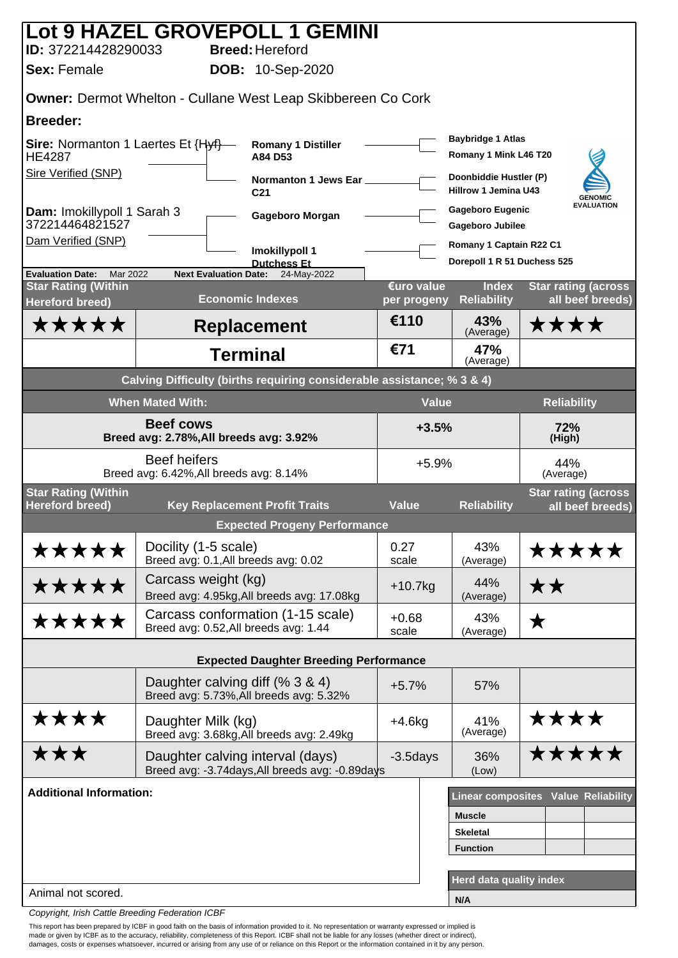|                                                             |                                                                | Lot 9 HAZEL GROVEPOLL 1 GEMINI                                         |                           |                                                       |                                                |
|-------------------------------------------------------------|----------------------------------------------------------------|------------------------------------------------------------------------|---------------------------|-------------------------------------------------------|------------------------------------------------|
| ID: 372214428290033<br><b>Sex: Female</b>                   |                                                                | <b>Breed: Hereford</b><br><b>DOB: 10-Sep-2020</b>                      |                           |                                                       |                                                |
|                                                             |                                                                |                                                                        |                           |                                                       |                                                |
|                                                             |                                                                | <b>Owner: Dermot Whelton - Cullane West Leap Skibbereen Co Cork</b>    |                           |                                                       |                                                |
| <b>Breeder:</b>                                             |                                                                |                                                                        |                           | <b>Baybridge 1 Atlas</b>                              |                                                |
| <b>Sire:</b> Normanton 1 Laertes Et {Hyf}-<br><b>HE4287</b> |                                                                | <b>Romany 1 Distiller</b><br>A84 D53                                   |                           | Romany 1 Mink L46 T20                                 |                                                |
| <b>Sire Verified (SNP)</b>                                  |                                                                | Normanton 1 Jews Ear<br>C <sub>21</sub>                                |                           | Doonbiddie Hustler (P)<br><b>Hillrow 1 Jemina U43</b> | <b>GENOMIC</b>                                 |
| Dam: Imokillypoll 1 Sarah 3<br>372214464821527              |                                                                | Gageboro Morgan                                                        |                           | <b>Gageboro Eugenic</b><br><b>Gageboro Jubilee</b>    | <b>EVALUATION</b>                              |
| Dam Verified (SNP)                                          |                                                                | Imokillypoll 1                                                         |                           | Romany 1 Captain R22 C1                               |                                                |
| <b>Evaluation Date:</b><br>Mar 2022                         | <b>Next Evaluation Date:</b>                                   | <b>Dutchess Et</b><br>24-May-2022                                      |                           | Dorepoll 1 R 51 Duchess 525                           |                                                |
| <b>Star Rating (Within</b><br><b>Hereford breed)</b>        |                                                                | <b>Economic Indexes</b>                                                | €uro value<br>per progeny | <b>Index</b><br><b>Reliability</b>                    | <b>Star rating (across</b><br>all beef breeds) |
| *****                                                       |                                                                | <b>Replacement</b>                                                     | €110                      | 43%<br>(Average)                                      | ****                                           |
|                                                             |                                                                | <b>Terminal</b>                                                        | €71                       | 47%<br>(Average)                                      |                                                |
|                                                             |                                                                | Calving Difficulty (births requiring considerable assistance; % 3 & 4) |                           |                                                       |                                                |
|                                                             | <b>When Mated With:</b>                                        |                                                                        | <b>Value</b>              |                                                       | <b>Reliability</b>                             |
| <b>Beef cows</b><br>Breed avg: 2.78%, All breeds avg: 3.92% |                                                                |                                                                        |                           | 72%<br>$+3.5%$<br>(High)                              |                                                |
|                                                             | <b>Beef heifers</b><br>Breed avg: 6.42%, All breeds avg: 8.14% |                                                                        | $+5.9%$                   |                                                       | 44%<br>(Average)                               |
| <b>Star Rating (Within</b><br><b>Hereford breed)</b>        |                                                                | <b>Key Replacement Profit Traits</b>                                   | <b>Value</b>              | <b>Reliability</b>                                    | <b>Star rating (across</b><br>all beef breeds) |
|                                                             |                                                                | <b>Expected Progeny Performance</b>                                    |                           |                                                       |                                                |
| *****                                                       | Docility (1-5 scale)<br>Breed avg: 0.1, All breeds avg: 0.02   |                                                                        | 0.27<br>scale             | 43%<br>(Average)                                      | *****                                          |
| *****                                                       | Carcass weight (kg)                                            | Breed avg: 4.95kg, All breeds avg: 17.08kg                             | $+10.7kg$                 | 44%<br>(Average)                                      | ★★                                             |
| *****                                                       | Breed avg: 0.52, All breeds avg: 1.44                          | Carcass conformation (1-15 scale)                                      | $+0.68$<br>scale          | 43%<br>(Average)                                      | ★                                              |
|                                                             |                                                                | <b>Expected Daughter Breeding Performance</b>                          |                           |                                                       |                                                |
|                                                             | Daughter calving diff (% 3 & 4)                                |                                                                        | $+5.7%$                   | 57%                                                   |                                                |
|                                                             |                                                                | Breed avg: 5.73%, All breeds avg: 5.32%                                |                           |                                                       |                                                |
| ****                                                        | Daughter Milk (kg)                                             | Breed avg: 3.68kg, All breeds avg: 2.49kg                              | $+4.6kg$                  | 41%<br>(Average)                                      | ****                                           |
| ★★★                                                         | Daughter calving interval (days)                               | Breed avg: -3.74days, All breeds avg: -0.89days                        | $-3.5$ days               | 36%<br>(Low)                                          | *****                                          |
| <b>Additional Information:</b>                              |                                                                |                                                                        |                           |                                                       | <b>Linear composites Value Reliability</b>     |
|                                                             |                                                                |                                                                        |                           | <b>Muscle</b>                                         |                                                |
|                                                             |                                                                |                                                                        |                           | <b>Skeletal</b><br><b>Function</b>                    |                                                |
|                                                             |                                                                |                                                                        |                           |                                                       |                                                |
| Animal not scored.                                          |                                                                |                                                                        |                           | Herd data quality index                               |                                                |
|                                                             |                                                                |                                                                        |                           | N/A                                                   |                                                |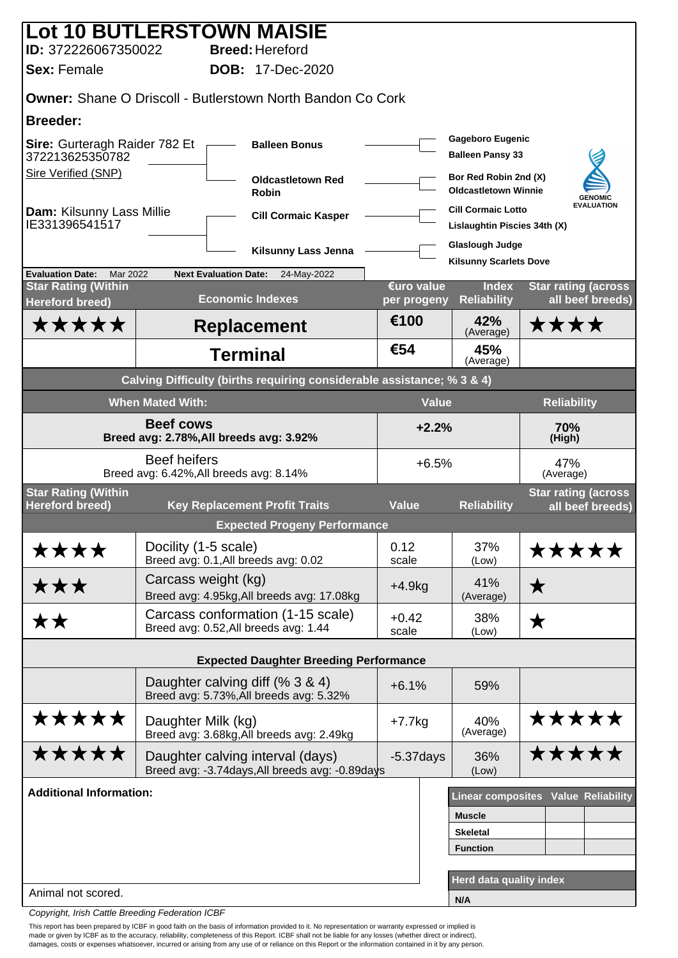|                                                                        |                                                             | <b>Lot 10 BUTLERSTOWN MAISIE</b>                                                    |                           |                                                           |                                                |  |  |
|------------------------------------------------------------------------|-------------------------------------------------------------|-------------------------------------------------------------------------------------|---------------------------|-----------------------------------------------------------|------------------------------------------------|--|--|
| ID: 372226067350022<br><b>Sex: Female</b>                              |                                                             | <b>Breed: Hereford</b><br><b>DOB:</b> 17-Dec-2020                                   |                           |                                                           |                                                |  |  |
|                                                                        |                                                             |                                                                                     |                           |                                                           |                                                |  |  |
|                                                                        |                                                             | <b>Owner: Shane O Driscoll - Butlerstown North Bandon Co Cork</b>                   |                           |                                                           |                                                |  |  |
| <b>Breeder:</b>                                                        |                                                             |                                                                                     |                           |                                                           |                                                |  |  |
| Sire: Gurteragh Raider 782 Et<br>372213625350782                       |                                                             | <b>Balleen Bonus</b>                                                                |                           | <b>Gageboro Eugenic</b><br><b>Balleen Pansy 33</b>        |                                                |  |  |
| <b>Sire Verified (SNP)</b>                                             |                                                             | <b>Oldcastletown Red</b><br><b>Robin</b>                                            |                           | Bor Red Robin 2nd (X)<br><b>Oldcastletown Winnie</b>      | <b>GENOMIC</b>                                 |  |  |
| <b>Dam: Kilsunny Lass Millie</b><br>IE331396541517                     |                                                             | <b>Cill Cormaic Kasper</b>                                                          |                           | <b>Cill Cormaic Lotto</b><br>Lislaughtin Piscies 34th (X) | <b>EVALUATION</b>                              |  |  |
|                                                                        |                                                             | Kilsunny Lass Jenna                                                                 |                           | <b>Glaslough Judge</b><br><b>Kilsunny Scarlets Dove</b>   |                                                |  |  |
| Mar 2022<br><b>Evaluation Date:</b>                                    |                                                             | <b>Next Evaluation Date:</b><br>24-May-2022                                         |                           |                                                           |                                                |  |  |
| <b>Star Rating (Within</b><br><b>Hereford breed)</b>                   |                                                             | <b>Economic Indexes</b>                                                             | €uro value<br>per progeny | <b>Index</b><br><b>Reliability</b>                        | <b>Star rating (across</b><br>all beef breeds) |  |  |
| *****                                                                  |                                                             | <b>Replacement</b>                                                                  | €100                      | 42%<br>(Average)                                          | ****                                           |  |  |
|                                                                        |                                                             | <b>Terminal</b>                                                                     | €54                       | 45%<br>(Average)                                          |                                                |  |  |
| Calving Difficulty (births requiring considerable assistance; % 3 & 4) |                                                             |                                                                                     |                           |                                                           |                                                |  |  |
|                                                                        | <b>When Mated With:</b>                                     |                                                                                     | <b>Value</b>              |                                                           | <b>Reliability</b>                             |  |  |
|                                                                        | <b>Beef cows</b><br>Breed avg: 2.78%, All breeds avg: 3.92% | $+2.2%$                                                                             |                           | 70%<br>(High)                                             |                                                |  |  |
|                                                                        | <b>Beef heifers</b>                                         | Breed avg: 6.42%, All breeds avg: 8.14%                                             | $+6.5%$                   |                                                           | 47%<br>(Average)                               |  |  |
| <b>Star Rating (Within</b><br><b>Hereford breed)</b>                   |                                                             | <b>Key Replacement Profit Traits</b>                                                | <b>Value</b>              | <b>Reliability</b>                                        | <b>Star rating (across</b><br>all beef breeds) |  |  |
|                                                                        |                                                             | <b>Expected Progeny Performance</b>                                                 |                           |                                                           |                                                |  |  |
| ****                                                                   | Docility (1-5 scale)                                        | Breed avg: 0.1, All breeds avg: 0.02                                                | 0.12<br>scale             | 37%<br>(Low)                                              | <b>*****</b>                                   |  |  |
| ★★★                                                                    | Carcass weight (kg)                                         | Breed avg: 4.95kg, All breeds avg: 17.08kg                                          | $+4.9kg$                  | 41%<br>(Average)                                          | ★                                              |  |  |
| <b>**</b>                                                              |                                                             | Carcass conformation (1-15 scale)<br>Breed avg: 0.52, All breeds avg: 1.44          | $+0.42$<br>scale          | 38%<br>(Low)                                              | ★                                              |  |  |
|                                                                        |                                                             | <b>Expected Daughter Breeding Performance</b>                                       |                           |                                                           |                                                |  |  |
|                                                                        |                                                             | Daughter calving diff (% 3 & 4)<br>Breed avg: 5.73%, All breeds avg: 5.32%          | $+6.1%$                   | 59%                                                       |                                                |  |  |
| *****                                                                  | Daughter Milk (kg)                                          | Breed avg: 3.68kg, All breeds avg: 2.49kg                                           | $+7.7$ kg                 | 40%<br>(Average)                                          | *****                                          |  |  |
| *****                                                                  |                                                             | Daughter calving interval (days)<br>Breed avg: -3.74days, All breeds avg: -0.89days | $-5.37$ days              | 36%<br>(Low)                                              | *****                                          |  |  |
| <b>Additional Information:</b>                                         |                                                             |                                                                                     |                           |                                                           | <b>Linear composites Value Reliability</b>     |  |  |
|                                                                        |                                                             |                                                                                     |                           | <b>Muscle</b>                                             |                                                |  |  |
|                                                                        |                                                             |                                                                                     |                           | <b>Skeletal</b>                                           |                                                |  |  |
|                                                                        |                                                             |                                                                                     |                           | <b>Function</b>                                           |                                                |  |  |
| Animal not scored.                                                     |                                                             |                                                                                     |                           | Herd data quality index                                   |                                                |  |  |
|                                                                        |                                                             |                                                                                     |                           | N/A                                                       |                                                |  |  |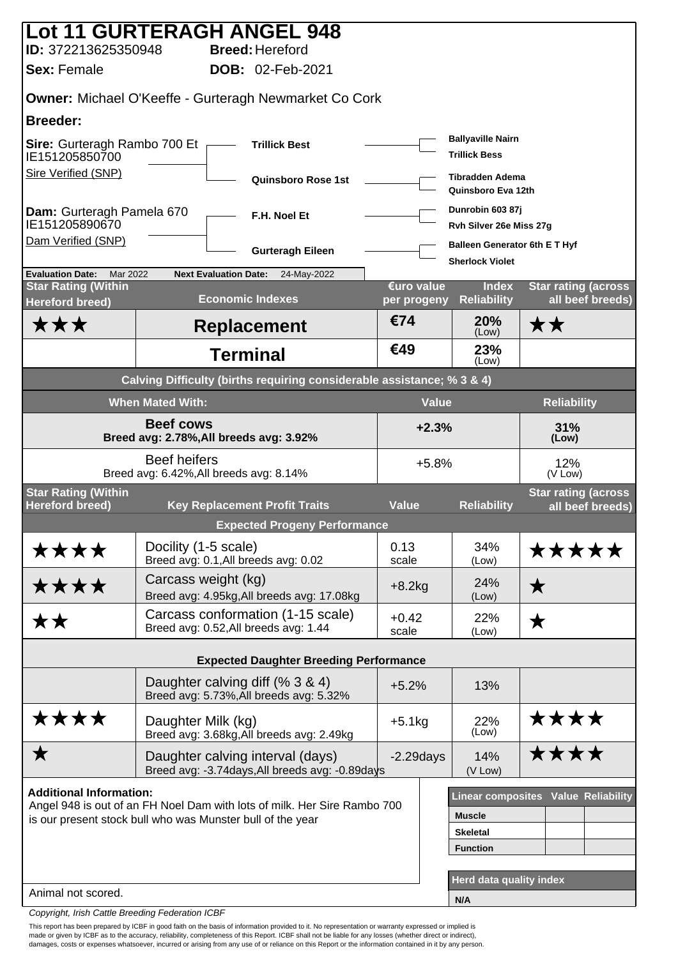| Lot 11 GURTERAGH ANGEL 948                                                                                                                                                                                                  |                                                                |                              |                                                                            |                         |                                                     |                                                  |                                                |
|-----------------------------------------------------------------------------------------------------------------------------------------------------------------------------------------------------------------------------|----------------------------------------------------------------|------------------------------|----------------------------------------------------------------------------|-------------------------|-----------------------------------------------------|--------------------------------------------------|------------------------------------------------|
| ID: 372213625350948                                                                                                                                                                                                         |                                                                |                              | <b>Breed: Hereford</b>                                                     |                         |                                                     |                                                  |                                                |
| <b>Sex: Female</b>                                                                                                                                                                                                          |                                                                |                              | <b>DOB: 02-Feb-2021</b>                                                    |                         |                                                     |                                                  |                                                |
| <b>Owner: Michael O'Keeffe - Gurteragh Newmarket Co Cork</b>                                                                                                                                                                |                                                                |                              |                                                                            |                         |                                                     |                                                  |                                                |
| <b>Breeder:</b>                                                                                                                                                                                                             |                                                                |                              |                                                                            |                         |                                                     |                                                  |                                                |
| Sire: Gurteragh Rambo 700 Et<br>IE151205850700                                                                                                                                                                              |                                                                |                              | <b>Trillick Best</b>                                                       |                         |                                                     | <b>Ballyaville Nairn</b><br><b>Trillick Bess</b> |                                                |
| <b>Sire Verified (SNP)</b>                                                                                                                                                                                                  |                                                                |                              | <b>Quinsboro Rose 1st</b>                                                  |                         |                                                     | <b>Tibradden Adema</b><br>Quinsboro Eva 12th     |                                                |
| Dam: Gurteragh Pamela 670<br>IE151205890670                                                                                                                                                                                 |                                                                |                              | F.H. Noel Et                                                               |                         |                                                     | Dunrobin 603 87j<br>Rvh Silver 26e Miss 27g      |                                                |
| Dam Verified (SNP)                                                                                                                                                                                                          |                                                                |                              | <b>Gurteragh Eileen</b>                                                    |                         |                                                     | <b>Balleen Generator 6th E T Hyf</b>             |                                                |
| <b>Evaluation Date:</b><br>Mar 2022                                                                                                                                                                                         |                                                                | <b>Next Evaluation Date:</b> | 24-May-2022                                                                |                         |                                                     | <b>Sherlock Violet</b>                           |                                                |
| <b>Star Rating (Within</b><br><b>Hereford breed)</b>                                                                                                                                                                        |                                                                |                              | <b>Economic Indexes</b>                                                    |                         | €uro value<br>per progeny                           | <b>Index</b><br><b>Reliability</b>               | <b>Star rating (across</b><br>all beef breeds) |
| ★★★                                                                                                                                                                                                                         |                                                                |                              | <b>Replacement</b>                                                         |                         | €74                                                 | 20%<br>(Low)                                     | ★★                                             |
|                                                                                                                                                                                                                             |                                                                | <b>Terminal</b>              |                                                                            |                         | €49                                                 | 23%<br>(Low)                                     |                                                |
|                                                                                                                                                                                                                             |                                                                |                              | Calving Difficulty (births requiring considerable assistance; % 3 & 4)     |                         |                                                     |                                                  |                                                |
|                                                                                                                                                                                                                             | <b>When Mated With:</b>                                        |                              |                                                                            |                         | <b>Value</b>                                        |                                                  | <b>Reliability</b>                             |
| <b>Beef cows</b><br>Breed avg: 2.78%, All breeds avg: 3.92%                                                                                                                                                                 |                                                                |                              |                                                                            | $+2.3%$<br>31%<br>(Low) |                                                     |                                                  |                                                |
|                                                                                                                                                                                                                             | <b>Beef heifers</b><br>Breed avg: 6.42%, All breeds avg: 8.14% |                              |                                                                            |                         | $+5.8%$                                             |                                                  | 12%<br>(V Low)                                 |
| <b>Star Rating (Within</b><br><b>Hereford breed)</b>                                                                                                                                                                        |                                                                |                              | <b>Key Replacement Profit Traits</b>                                       |                         | <b>Value</b>                                        | <b>Reliability</b>                               | <b>Star rating (across</b><br>all beef breeds) |
|                                                                                                                                                                                                                             |                                                                |                              | <b>Expected Progeny Performance</b>                                        |                         |                                                     |                                                  |                                                |
| ****                                                                                                                                                                                                                        | Docility (1-5 scale)                                           |                              | Breed avg: 0.1, All breeds avg: 0.02                                       |                         | 0.13<br>scale                                       | 34%<br>(Low)                                     | *****                                          |
| ****                                                                                                                                                                                                                        | Carcass weight (kg)                                            |                              | Breed avg: 4.95kg, All breeds avg: 17.08kg                                 |                         | $+8.2kg$                                            | 24%                                              | ★                                              |
|                                                                                                                                                                                                                             |                                                                |                              | Carcass conformation (1-15 scale)                                          |                         | $+0.42$                                             | (Low)<br>22%                                     |                                                |
| <b>**</b>                                                                                                                                                                                                                   |                                                                |                              | Breed avg: 0.52, All breeds avg: 1.44                                      |                         | scale                                               | (Low)                                            | ★                                              |
|                                                                                                                                                                                                                             |                                                                |                              | <b>Expected Daughter Breeding Performance</b>                              |                         |                                                     |                                                  |                                                |
|                                                                                                                                                                                                                             |                                                                |                              | Daughter calving diff (% 3 & 4)<br>Breed avg: 5.73%, All breeds avg: 5.32% |                         | $+5.2%$                                             | 13%                                              |                                                |
| ****                                                                                                                                                                                                                        | Daughter Milk (kg)                                             |                              | Breed avg: 3.68kg, All breeds avg: 2.49kg                                  |                         | $+5.1kg$                                            | 22%<br>(Low)                                     | ****                                           |
| ★                                                                                                                                                                                                                           |                                                                |                              | Daughter calving interval (days)                                           |                         | $-2.29$ days                                        | 14%<br>(V Low)                                   | ****                                           |
| Breed avg: -3.74days, All breeds avg: -0.89days<br><b>Additional Information:</b><br>Angel 948 is out of an FH Noel Dam with lots of milk. Her Sire Rambo 700<br>is our present stock bull who was Munster bull of the year |                                                                |                              |                                                                            |                         | <b>Muscle</b><br><b>Skeletal</b><br><b>Function</b> | Linear composites Value Reliability              |                                                |
| Animal not scored.                                                                                                                                                                                                          |                                                                |                              |                                                                            |                         |                                                     | Herd data quality index<br>N/A                   |                                                |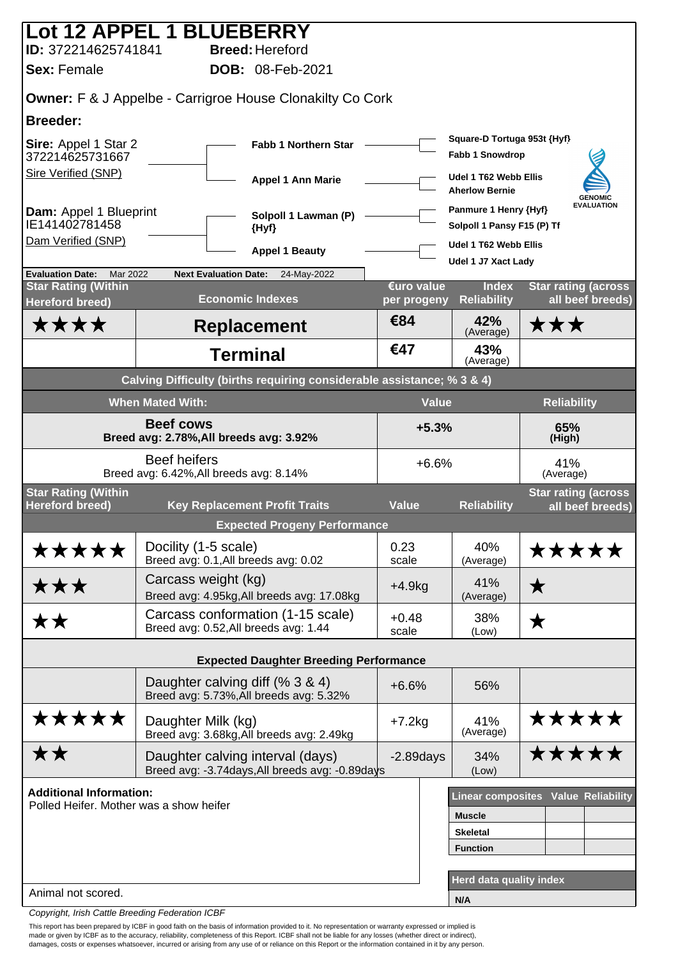|                                                      | Lot 12 APPEL 1 BLUEBERRY                                                            |                           |                                                     |                                                |
|------------------------------------------------------|-------------------------------------------------------------------------------------|---------------------------|-----------------------------------------------------|------------------------------------------------|
| ID: 372214625741841                                  | <b>Breed: Hereford</b>                                                              |                           |                                                     |                                                |
| <b>Sex: Female</b>                                   | <b>DOB: 08-Feb-2021</b>                                                             |                           |                                                     |                                                |
|                                                      | Owner: F & J Appelbe - Carrigroe House Clonakilty Co Cork                           |                           |                                                     |                                                |
| <b>Breeder:</b>                                      |                                                                                     |                           |                                                     |                                                |
| Sire: Appel 1 Star 2<br>372214625731667              | <b>Fabb 1 Northern Star</b>                                                         |                           | Square-D Tortuga 953t {Hyf}<br>Fabb 1 Snowdrop      |                                                |
| <b>Sire Verified (SNP)</b>                           | <b>Appel 1 Ann Marie</b>                                                            |                           | Udel 1 T62 Webb Ellis<br><b>Aherlow Bernie</b>      | <b>GENOMIC</b>                                 |
| Dam: Appel 1 Blueprint<br>IE141402781458             | Solpoll 1 Lawman (P)<br>{Hyf}                                                       |                           | Panmure 1 Henry {Hyf}<br>Solpoll 1 Pansy F15 (P) Tf | <b>EVALUATION</b>                              |
| Dam Verified (SNP)                                   | <b>Appel 1 Beauty</b>                                                               |                           | Udel 1 T62 Webb Ellis                               |                                                |
| <b>Evaluation Date:</b><br>Mar 2022                  | <b>Next Evaluation Date:</b><br>24-May-2022                                         |                           | Udel 1 J7 Xact Lady                                 |                                                |
| <b>Star Rating (Within</b><br><b>Hereford breed)</b> | <b>Economic Indexes</b>                                                             | €uro value<br>per progeny | <b>Index</b><br><b>Reliability</b>                  | <b>Star rating (across</b><br>all beef breeds) |
| ****                                                 | <b>Replacement</b>                                                                  | €84                       | 42%<br>(Average)                                    | ★★★                                            |
|                                                      | <b>Terminal</b>                                                                     | €47                       | 43%<br>(Average)                                    |                                                |
|                                                      | Calving Difficulty (births requiring considerable assistance; % 3 & 4)              |                           |                                                     |                                                |
|                                                      | <b>When Mated With:</b>                                                             | <b>Value</b>              |                                                     | <b>Reliability</b>                             |
|                                                      | <b>Beef cows</b><br>Breed avg: 2.78%, All breeds avg: 3.92%                         | $+5.3%$                   |                                                     | 65%<br>(High)                                  |
|                                                      | <b>Beef heifers</b><br>Breed avg: 6.42%, All breeds avg: 8.14%                      | $+6.6%$                   |                                                     | 41%<br>(Average)                               |
| <b>Star Rating (Within</b><br><b>Hereford breed)</b> | <b>Key Replacement Profit Traits</b>                                                | <b>Value</b>              | <b>Reliability</b>                                  | <b>Star rating (across</b><br>all beef breeds) |
|                                                      | <b>Expected Progeny Performance</b>                                                 |                           |                                                     |                                                |
| *****                                                | Docility (1-5 scale)<br>Breed avg: 0.1, All breeds avg: 0.02                        | 0.23<br>scale             | 40%<br>(Average)                                    | <b>*****</b>                                   |
| ★★★                                                  | Carcass weight (kg)<br>Breed avg: 4.95kg, All breeds avg: 17.08kg                   | $+4.9kg$                  | 41%<br>(Average)                                    | ★                                              |
| <b>**</b>                                            | Carcass conformation (1-15 scale)<br>Breed avg: 0.52, All breeds avg: 1.44          | $+0.48$<br>scale          | 38%<br>(Low)                                        | ★                                              |
|                                                      | <b>Expected Daughter Breeding Performance</b>                                       |                           |                                                     |                                                |
|                                                      | Daughter calving diff (% 3 & 4)<br>Breed avg: 5.73%, All breeds avg: 5.32%          | $+6.6%$                   | 56%                                                 |                                                |
| *****                                                | Daughter Milk (kg)<br>Breed avg: 3.68kg, All breeds avg: 2.49kg                     | $+7.2kg$                  | 41%<br>(Average)                                    | *****                                          |
| <b>**</b>                                            | Daughter calving interval (days)<br>Breed avg: -3.74days, All breeds avg: -0.89days | $-2.89$ days              | 34%<br>(Low)                                        | *****                                          |
| <b>Additional Information:</b>                       |                                                                                     |                           |                                                     | <b>Linear composites Value Reliability</b>     |
| Polled Heifer. Mother was a show heifer              |                                                                                     |                           | <b>Muscle</b>                                       |                                                |
|                                                      |                                                                                     |                           | <b>Skeletal</b>                                     |                                                |
|                                                      |                                                                                     |                           | <b>Function</b>                                     |                                                |
| Animal not scored.                                   |                                                                                     |                           | Herd data quality index                             |                                                |
|                                                      |                                                                                     |                           | N/A                                                 |                                                |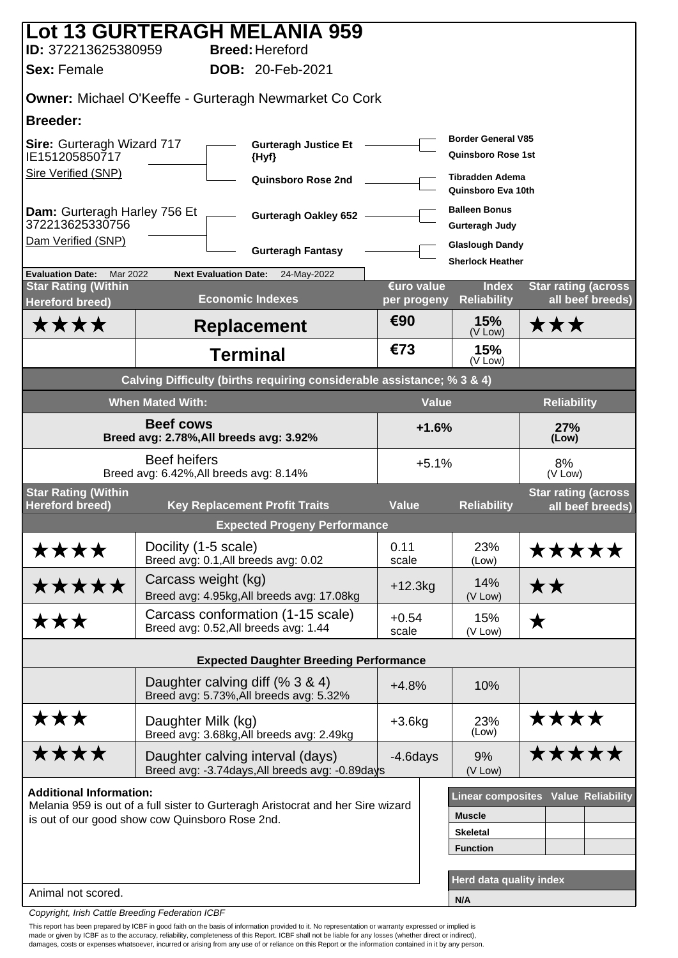| ID: 372213625380959                                                                         |                         | <b>Lot 13 GURTERAGH MELANIA 959</b><br><b>Breed: Hereford</b>                       |                           |                                                        |                                                |  |  |
|---------------------------------------------------------------------------------------------|-------------------------|-------------------------------------------------------------------------------------|---------------------------|--------------------------------------------------------|------------------------------------------------|--|--|
| <b>Sex: Female</b>                                                                          |                         | <b>DOB: 20-Feb-2021</b>                                                             |                           |                                                        |                                                |  |  |
|                                                                                             |                         | <b>Owner: Michael O'Keeffe - Gurteragh Newmarket Co Cork</b>                        |                           |                                                        |                                                |  |  |
| <b>Breeder:</b>                                                                             |                         |                                                                                     |                           |                                                        |                                                |  |  |
| <b>Sire: Gurteragh Wizard 717</b><br><b>Gurteragh Justice Et</b><br>IE151205850717<br>{Hyf} |                         |                                                                                     |                           | <b>Border General V85</b><br><b>Quinsboro Rose 1st</b> |                                                |  |  |
| <b>Sire Verified (SNP)</b>                                                                  |                         | Quinsboro Rose 2nd                                                                  |                           | <b>Tibradden Adema</b><br>Quinsboro Eva 10th           |                                                |  |  |
| Dam: Gurteragh Harley 756 Et<br>372213625330756                                             |                         | <b>Gurteragh Oakley 652</b>                                                         |                           | <b>Balleen Bonus</b><br><b>Gurteragh Judy</b>          |                                                |  |  |
| Dam Verified (SNP)                                                                          |                         | <b>Gurteragh Fantasy</b>                                                            |                           | <b>Glaslough Dandy</b><br><b>Sherlock Heather</b>      |                                                |  |  |
| <b>Evaluation Date:</b><br>Mar 2022                                                         |                         | <b>Next Evaluation Date:</b><br>24-May-2022                                         |                           |                                                        |                                                |  |  |
| <b>Star Rating (Within</b><br><b>Hereford breed)</b>                                        |                         | <b>Economic Indexes</b>                                                             | €uro value<br>per progeny | <b>Index</b><br><b>Reliability</b>                     | <b>Star rating (across</b><br>all beef breeds) |  |  |
| ****                                                                                        |                         | <b>Replacement</b>                                                                  | €90                       | 15%<br>(V Low)                                         | ★★★                                            |  |  |
|                                                                                             |                         | <b>Terminal</b>                                                                     | €73                       | 15%<br>(V Low)                                         |                                                |  |  |
|                                                                                             |                         | Calving Difficulty (births requiring considerable assistance; % 3 & 4)              |                           |                                                        |                                                |  |  |
|                                                                                             | <b>When Mated With:</b> |                                                                                     |                           | <b>Value</b>                                           | <b>Reliability</b>                             |  |  |
|                                                                                             | <b>Beef cows</b>        | Breed avg: 2.78%, All breeds avg: 3.92%                                             |                           | $+1.6%$                                                | 27%<br>(Low)                                   |  |  |
|                                                                                             | <b>Beef heifers</b>     | Breed avg: 6.42%, All breeds avg: 8.14%                                             |                           | $+5.1%$                                                | 8%<br>(V Low)                                  |  |  |
| <b>Star Rating (Within</b><br><b>Hereford breed)</b>                                        |                         | <b>Key Replacement Profit Traits</b>                                                | <b>Value</b>              | <b>Reliability</b>                                     | <b>Star rating (across</b><br>all beef breeds) |  |  |
|                                                                                             |                         | <b>Expected Progeny Performance</b>                                                 |                           |                                                        |                                                |  |  |
| ****                                                                                        | Docility (1-5 scale)    | Breed avg: 0.1, All breeds avg: 0.02                                                | 0.11<br>scale             | 23%<br>(Low)                                           | *****                                          |  |  |
| *****                                                                                       |                         | Carcass weight (kg)<br>Breed avg: 4.95kg, All breeds avg: 17.08kg                   | $+12.3kg$                 | 14%<br>(V Low)                                         | ★★                                             |  |  |
| ★★★                                                                                         |                         | Carcass conformation (1-15 scale)<br>Breed avg: 0.52, All breeds avg: 1.44          | $+0.54$<br>scale          | 15%<br>(V Low)                                         | ★                                              |  |  |
|                                                                                             |                         | <b>Expected Daughter Breeding Performance</b>                                       |                           |                                                        |                                                |  |  |
|                                                                                             |                         | Daughter calving diff (% 3 & 4)<br>Breed avg: 5.73%, All breeds avg: 5.32%          | $+4.8%$                   | 10%                                                    |                                                |  |  |
| ★★★                                                                                         | Daughter Milk (kg)      | Breed avg: 3.68kg, All breeds avg: 2.49kg                                           | $+3.6kg$                  | 23%<br>(Low)                                           | ****                                           |  |  |
| ****                                                                                        |                         | Daughter calving interval (days)<br>Breed avg: -3.74days, All breeds avg: -0.89days | $-4.6$ days               | 9%<br>(V Low)                                          | *****                                          |  |  |
| <b>Additional Information:</b>                                                              |                         |                                                                                     |                           |                                                        | Linear composites Value Reliability            |  |  |
| is out of our good show cow Quinsboro Rose 2nd.                                             |                         | Melania 959 is out of a full sister to Gurteragh Aristocrat and her Sire wizard     |                           | <b>Muscle</b>                                          |                                                |  |  |
|                                                                                             |                         |                                                                                     |                           | <b>Skeletal</b>                                        |                                                |  |  |
|                                                                                             |                         |                                                                                     |                           | <b>Function</b>                                        |                                                |  |  |
|                                                                                             |                         |                                                                                     |                           | Herd data quality index                                |                                                |  |  |
| Animal not scored.                                                                          |                         |                                                                                     |                           | N/A                                                    |                                                |  |  |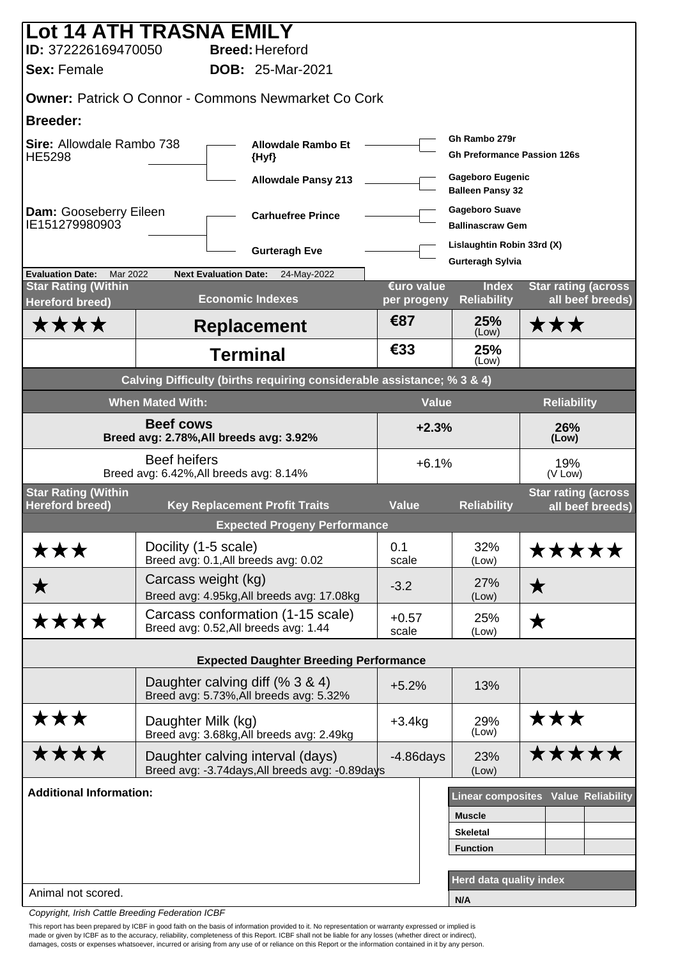| Lot 14 ATH TRASNA EMILY                              |                         |                                                                                     |                           |                                                     |                                                |
|------------------------------------------------------|-------------------------|-------------------------------------------------------------------------------------|---------------------------|-----------------------------------------------------|------------------------------------------------|
| ID: 372226169470050                                  |                         | <b>Breed: Hereford</b>                                                              |                           |                                                     |                                                |
| <b>Sex: Female</b>                                   |                         | <b>DOB: 25-Mar-2021</b>                                                             |                           |                                                     |                                                |
|                                                      |                         | <b>Owner: Patrick O Connor - Commons Newmarket Co Cork</b>                          |                           |                                                     |                                                |
| <b>Breeder:</b>                                      |                         |                                                                                     |                           |                                                     |                                                |
| Sire: Allowdale Rambo 738<br><b>HE5298</b>           |                         | <b>Allowdale Rambo Et</b><br>{Hyf}                                                  |                           | Gh Rambo 279r<br><b>Gh Preformance Passion 126s</b> |                                                |
| <b>Allowdale Pansy 213</b>                           |                         |                                                                                     |                           | <b>Gageboro Eugenic</b><br><b>Balleen Pansy 32</b>  |                                                |
| Dam: Gooseberry Eileen<br>IE151279980903             |                         | <b>Carhuefree Prince</b>                                                            |                           | <b>Gageboro Suave</b><br><b>Ballinascraw Gem</b>    |                                                |
|                                                      |                         | <b>Gurteragh Eve</b>                                                                |                           | Lislaughtin Robin 33rd (X)                          |                                                |
| <b>Evaluation Date:</b><br>Mar 2022                  |                         | <b>Next Evaluation Date:</b><br>24-May-2022                                         |                           | <b>Gurteragh Sylvia</b>                             |                                                |
| <b>Star Rating (Within</b><br><b>Hereford breed)</b> |                         | <b>Economic Indexes</b>                                                             | €uro value<br>per progeny | <b>Index</b><br><b>Reliability</b>                  | <b>Star rating (across</b><br>all beef breeds) |
| <b>****</b>                                          |                         | <b>Replacement</b>                                                                  | €87                       | 25%<br>(Low)                                        | ★★★                                            |
|                                                      |                         | <b>Terminal</b>                                                                     | €33                       | 25%<br>(Low)                                        |                                                |
|                                                      |                         | Calving Difficulty (births requiring considerable assistance; % 3 & 4)              |                           |                                                     |                                                |
|                                                      | <b>When Mated With:</b> |                                                                                     | <b>Value</b>              |                                                     | <b>Reliability</b>                             |
|                                                      | <b>Beef cows</b>        | Breed avg: 2.78%, All breeds avg: 3.92%                                             | $+2.3%$                   |                                                     | 26%<br>(Low)                                   |
|                                                      | <b>Beef heifers</b>     | Breed avg: 6.42%, All breeds avg: 8.14%                                             | $+6.1%$                   |                                                     | 19%<br>(V Low)                                 |
| <b>Star Rating (Within</b><br><b>Hereford breed)</b> |                         | <b>Key Replacement Profit Traits</b>                                                | <b>Value</b>              | <b>Reliability</b>                                  | <b>Star rating (across</b>                     |
|                                                      |                         | <b>Expected Progeny Performance</b>                                                 |                           |                                                     | all beef breeds)                               |
| ★★★                                                  | Docility (1-5 scale)    |                                                                                     | 0.1                       | 32%                                                 | *****                                          |
|                                                      |                         | Breed avg: 0.1, All breeds avg: 0.02                                                | scale                     | (Low)                                               |                                                |
| ★                                                    | Carcass weight (kg)     | Breed avg: 4.95kg, All breeds avg: 17.08kg                                          | $-3.2$                    | 27%<br>(Low)                                        | ★                                              |
| ****                                                 |                         | Carcass conformation (1-15 scale)<br>Breed avg: 0.52, All breeds avg: 1.44          | $+0.57$<br>scale          | 25%<br>(Low)                                        | ★                                              |
|                                                      |                         | <b>Expected Daughter Breeding Performance</b>                                       |                           |                                                     |                                                |
|                                                      |                         | Daughter calving diff (% 3 & 4)<br>Breed avg: 5.73%, All breeds avg: 5.32%          | $+5.2%$                   | 13%                                                 |                                                |
| ★★★                                                  | Daughter Milk (kg)      | Breed avg: 3.68kg, All breeds avg: 2.49kg                                           | $+3.4kg$                  | 29%<br>(Low)                                        | ★★★                                            |
| ****                                                 |                         | Daughter calving interval (days)<br>Breed avg: -3.74days, All breeds avg: -0.89days | $-4.86$ days              | 23%<br>(Low)                                        | *****                                          |
| <b>Additional Information:</b>                       |                         |                                                                                     |                           |                                                     | <b>Linear composites Value Reliability</b>     |
|                                                      |                         |                                                                                     |                           | <b>Muscle</b>                                       |                                                |
|                                                      |                         |                                                                                     |                           | <b>Skeletal</b>                                     |                                                |
|                                                      |                         |                                                                                     |                           | <b>Function</b>                                     |                                                |
| Animal not scored.                                   |                         |                                                                                     |                           | Herd data quality index                             |                                                |
|                                                      |                         |                                                                                     |                           | N/A                                                 |                                                |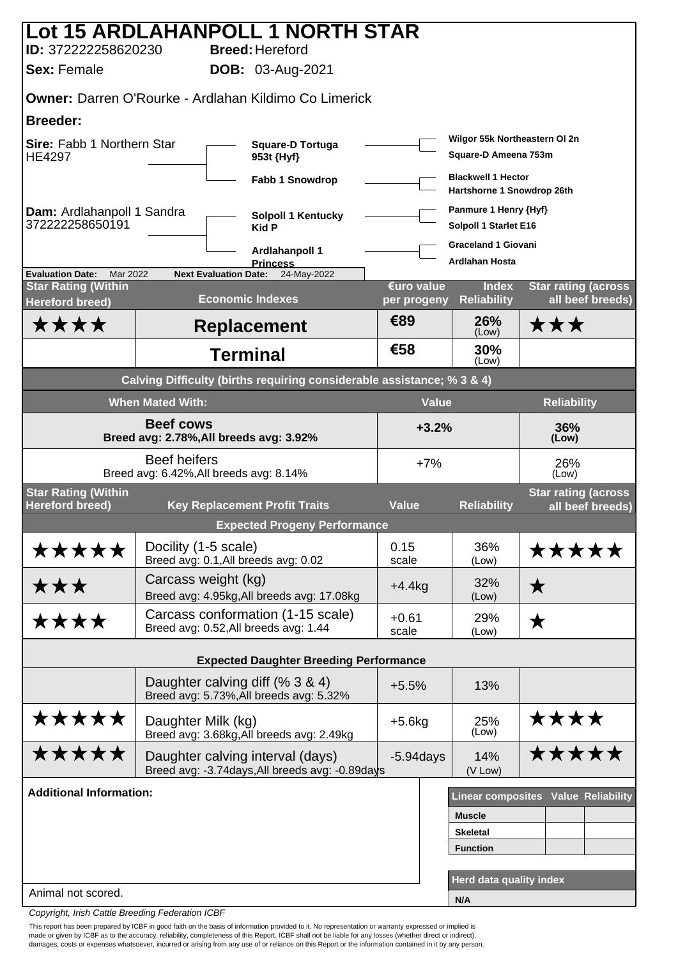|                                                                                      |                         | Lot 15 ARDLAHANPOLL 1 NORTH STAR                                                    |                                                       |                                                         |                                                 |  |
|--------------------------------------------------------------------------------------|-------------------------|-------------------------------------------------------------------------------------|-------------------------------------------------------|---------------------------------------------------------|-------------------------------------------------|--|
| ID: 372222258620230<br><b>Sex: Female</b>                                            |                         | <b>Breed: Hereford</b><br><b>DOB:</b> 03-Aug-2021                                   |                                                       |                                                         |                                                 |  |
|                                                                                      |                         | <b>Owner: Darren O'Rourke - Ardlahan Kildimo Co Limerick</b>                        |                                                       |                                                         |                                                 |  |
| <b>Breeder:</b>                                                                      |                         |                                                                                     |                                                       |                                                         |                                                 |  |
| Sire: Fabb 1 Northern Star<br><b>Square-D Tortuga</b><br><b>HE4297</b><br>953t {Hyf} |                         |                                                                                     | Wilgor 55k Northeastern OI 2n<br>Square-D Ameena 753m |                                                         |                                                 |  |
|                                                                                      |                         | <b>Fabb 1 Snowdrop</b>                                                              |                                                       | <b>Blackwell 1 Hector</b><br>Hartshorne 1 Snowdrop 26th |                                                 |  |
| Dam: Ardlahanpoll 1 Sandra<br>372222258650191                                        |                         | <b>Solpoll 1 Kentucky</b><br><b>Kid P</b>                                           |                                                       | Panmure 1 Henry {Hyf}<br>Solpoll 1 Starlet E16          |                                                 |  |
|                                                                                      |                         | Ardiahanpoll 1                                                                      |                                                       | <b>Graceland 1 Giovani</b>                              |                                                 |  |
| <b>Evaluation Date:</b><br>Mar 2022                                                  |                         | <b>Princess</b><br><b>Next Evaluation Date:</b><br>24-May-2022                      |                                                       | <b>Ardiahan Hosta</b>                                   |                                                 |  |
| <b>Star Rating (Within</b><br><b>Hereford breed)</b>                                 |                         | <b>Economic Indexes</b>                                                             | €uro value<br>per progeny                             | <b>Index</b><br><b>Reliability</b>                      | <b>Star rating (across)</b><br>all beef breeds) |  |
| <b>****</b>                                                                          |                         | <b>Replacement</b>                                                                  | €89                                                   | 26%<br>(Low)                                            | ★★★                                             |  |
|                                                                                      |                         | <b>Terminal</b>                                                                     | €58                                                   | 30%<br>(Low)                                            |                                                 |  |
|                                                                                      |                         | Calving Difficulty (births requiring considerable assistance; % 3 & 4)              |                                                       |                                                         |                                                 |  |
|                                                                                      | <b>When Mated With:</b> |                                                                                     | <b>Value</b>                                          |                                                         | <b>Reliability</b>                              |  |
|                                                                                      | <b>Beef cows</b>        | Breed avg: 2.78%, All breeds avg: 3.92%                                             | $+3.2%$                                               |                                                         | 36%<br>(Low)                                    |  |
|                                                                                      | <b>Beef heifers</b>     | Breed avg: 6.42%, All breeds avg: 8.14%                                             | $+7%$                                                 |                                                         | 26%<br>(Low)                                    |  |
| <b>Star Rating (Within</b><br><b>Hereford breed)</b>                                 |                         | <b>Key Replacement Profit Traits</b>                                                | <b>Value</b>                                          | <b>Reliability</b>                                      | <b>Star rating (across</b><br>all beef breeds)  |  |
|                                                                                      |                         | <b>Expected Progeny Performance</b>                                                 |                                                       |                                                         |                                                 |  |
| *****                                                                                | Docility (1-5 scale)    | Breed avg: 0.1, All breeds avg: 0.02                                                | 0.15<br>scale                                         | 36%<br>(Low)                                            | *****                                           |  |
| ★★★                                                                                  |                         | Carcass weight (kg)<br>Breed avg: 4.95kg, All breeds avg: 17.08kg                   | $+4.4kg$                                              | 32%<br>(Low)                                            | ★                                               |  |
| ****                                                                                 |                         | Carcass conformation (1-15 scale)<br>Breed avg: 0.52, All breeds avg: 1.44          | $+0.61$<br>scale                                      | 29%<br>(Low)                                            | ★                                               |  |
|                                                                                      |                         | <b>Expected Daughter Breeding Performance</b>                                       |                                                       |                                                         |                                                 |  |
|                                                                                      |                         | Daughter calving diff (% 3 & 4)<br>Breed avg: 5.73%, All breeds avg: 5.32%          | $+5.5%$                                               | 13%                                                     |                                                 |  |
| *****                                                                                | Daughter Milk (kg)      | Breed avg: 3.68kg, All breeds avg: 2.49kg                                           | $+5.6$ kg                                             | 25%<br>(Low)                                            | ****                                            |  |
| *****                                                                                |                         | Daughter calving interval (days)<br>Breed avg: -3.74days, All breeds avg: -0.89days | $-5.94$ days                                          | 14%<br>(V Low)                                          | <b>*****</b>                                    |  |
| <b>Additional Information:</b>                                                       |                         |                                                                                     |                                                       |                                                         | Linear composites Value Reliability             |  |
|                                                                                      |                         |                                                                                     |                                                       | <b>Muscle</b>                                           |                                                 |  |
|                                                                                      |                         |                                                                                     |                                                       | <b>Skeletal</b>                                         |                                                 |  |
|                                                                                      |                         |                                                                                     |                                                       | <b>Function</b>                                         |                                                 |  |
| Animal not scored.                                                                   |                         |                                                                                     |                                                       | Herd data quality index                                 |                                                 |  |
|                                                                                      |                         |                                                                                     |                                                       | N/A                                                     |                                                 |  |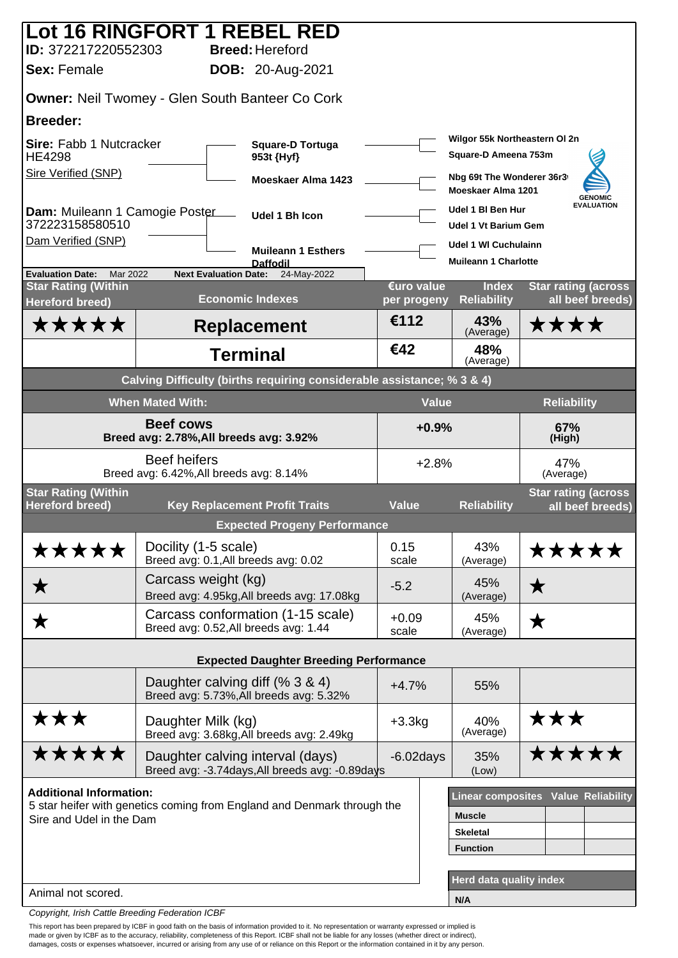|                                                      | Lot 16 RINGFORT 1 REBEL RED                                                         |                           |                                                  |                                                |
|------------------------------------------------------|-------------------------------------------------------------------------------------|---------------------------|--------------------------------------------------|------------------------------------------------|
| ID: 372217220552303<br><b>Sex: Female</b>            | <b>Breed: Hereford</b><br><b>DOB:</b> 20-Aug-2021                                   |                           |                                                  |                                                |
|                                                      |                                                                                     |                           |                                                  |                                                |
|                                                      | <b>Owner: Neil Twomey - Glen South Banteer Co Cork</b>                              |                           |                                                  |                                                |
| <b>Breeder:</b>                                      | <b>Square-D Tortuga</b>                                                             |                           | Wilgor 55k Northeastern OI 2n                    |                                                |
| Sire: Fabb 1 Nutcracker<br><b>HE4298</b>             |                                                                                     | Square-D Ameena 753m      |                                                  |                                                |
| Sire Verified (SNP)                                  | Moeskaer Alma 1423                                                                  |                           | Nbg 69t The Wonderer 36r3<br>Moeskaer Alma 1201  | <b>GENOMIC</b>                                 |
| Dam: Muileann 1 Camogie Poster<br>372223158580510    | Udel 1 Bh Icon                                                                      |                           | Udel 1 BI Ben Hur<br><b>Udel 1 Vt Barium Gem</b> | <b>EVALUATION</b>                              |
| Dam Verified (SNP)                                   | <b>Muileann 1 Esthers</b>                                                           |                           | Udel 1 WI Cuchulainn                             |                                                |
| <b>Evaluation Date:</b><br>Mar 2022                  | <b>Daffodil</b><br><b>Next Evaluation Date:</b><br>24-May-2022                      |                           | <b>Muileann 1 Charlotte</b>                      |                                                |
| <b>Star Rating (Within</b><br><b>Hereford breed)</b> | <b>Economic Indexes</b>                                                             | €uro value<br>per progeny | <b>Index</b><br><b>Reliability</b>               | <b>Star rating (across</b><br>all beef breeds) |
| <b>*****</b>                                         | <b>Replacement</b>                                                                  | €112                      | 43%<br>(Average)                                 | ****                                           |
|                                                      | <b>Terminal</b>                                                                     | €42                       | 48%<br>(Average)                                 |                                                |
|                                                      | Calving Difficulty (births requiring considerable assistance; % 3 & 4)              |                           |                                                  |                                                |
|                                                      | <b>When Mated With:</b>                                                             | <b>Value</b>              |                                                  | <b>Reliability</b>                             |
|                                                      | <b>Beef cows</b><br>Breed avg: 2.78%, All breeds avg: 3.92%                         | $+0.9%$                   |                                                  | 67%<br>(High)                                  |
|                                                      | <b>Beef heifers</b><br>Breed avg: 6.42%, All breeds avg: 8.14%                      | $+2.8%$                   |                                                  | 47%<br>(Average)                               |
| <b>Star Rating (Within</b><br><b>Hereford breed)</b> | <b>Key Replacement Profit Traits</b>                                                | <b>Value</b>              | <b>Reliability</b>                               | <b>Star rating (across</b><br>all beef breeds) |
|                                                      | <b>Expected Progeny Performance</b>                                                 |                           |                                                  |                                                |
| *****                                                | Docility (1-5 scale)<br>Breed avg: 0.1, All breeds avg: 0.02                        | 0.15<br>scale             | 43%<br>(Average)                                 | <b>*****</b>                                   |
| ★                                                    | Carcass weight (kg)<br>Breed avg: 4.95kg, All breeds avg: 17.08kg                   | $-5.2$                    | 45%<br>(Average)                                 | $\bigstar$                                     |
| ★                                                    | Carcass conformation (1-15 scale)<br>Breed avg: 0.52, All breeds avg: 1.44          | $+0.09$<br>scale          | 45%<br>(Average)                                 | ★                                              |
|                                                      | <b>Expected Daughter Breeding Performance</b>                                       |                           |                                                  |                                                |
|                                                      | Daughter calving diff (% 3 & 4)<br>Breed avg: 5.73%, All breeds avg: 5.32%          | $+4.7%$                   | 55%                                              |                                                |
| ★★★                                                  | Daughter Milk (kg)<br>Breed avg: 3.68kg, All breeds avg: 2.49kg                     | $+3.3kg$                  | 40%<br>(Average)                                 | ★★★                                            |
| *****                                                | Daughter calving interval (days)<br>Breed avg: -3.74days, All breeds avg: -0.89days | $-6.02$ days              | 35%<br>(Low)                                     | *****                                          |
| <b>Additional Information:</b>                       |                                                                                     |                           |                                                  | Linear composites Value Reliability            |
| Sire and Udel in the Dam                             | 5 star heifer with genetics coming from England and Denmark through the             |                           | <b>Muscle</b>                                    |                                                |
|                                                      |                                                                                     |                           | <b>Skeletal</b>                                  |                                                |
|                                                      |                                                                                     |                           | <b>Function</b>                                  |                                                |
| Animal not scored.                                   |                                                                                     |                           | Herd data quality index                          |                                                |
|                                                      |                                                                                     |                           | N/A                                              |                                                |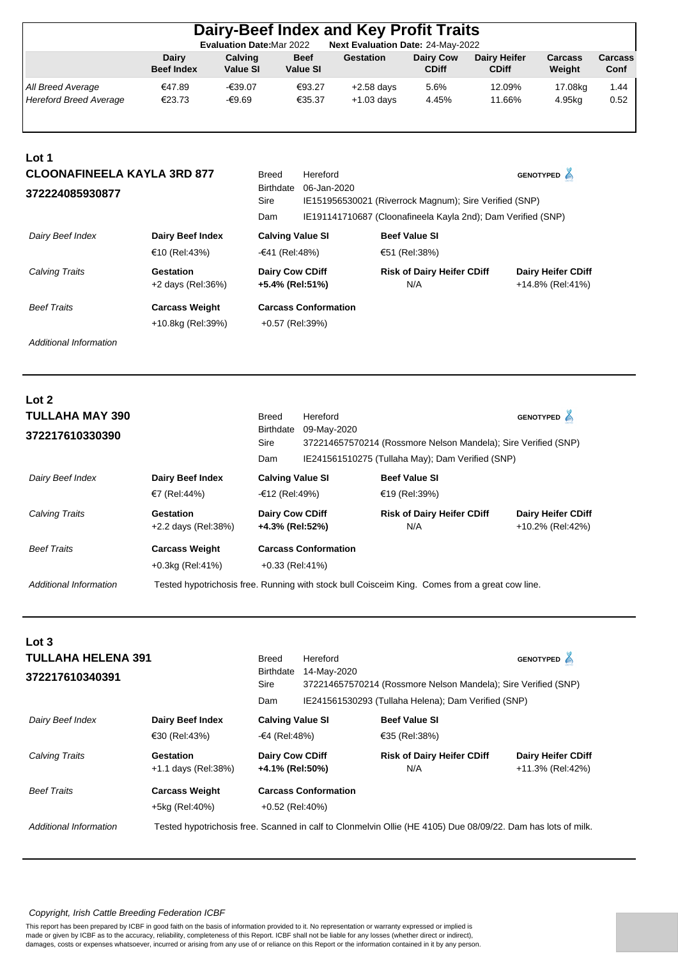| Dairy-Beef Index and Key Profit Traits                                |                            |                     |                                |                              |                           |                                     |                   |                 |  |  |
|-----------------------------------------------------------------------|----------------------------|---------------------|--------------------------------|------------------------------|---------------------------|-------------------------------------|-------------------|-----------------|--|--|
| Next Evaluation Date: 24-May-2022<br><b>Evaluation Date: Mar 2022</b> |                            |                     |                                |                              |                           |                                     |                   |                 |  |  |
|                                                                       | Dairy<br><b>Beef Index</b> | Calving<br>Value SI | <b>Beef</b><br><b>Value SI</b> | Gestation                    | Dairy Cow<br><b>CDiff</b> | <b>Dairy Heifer</b><br><b>CDiff</b> | Carcass<br>Weight | Carcass<br>Conf |  |  |
| All Breed Average<br><b>Hereford Breed Average</b>                    | €47.89<br>€23.73           | -€39.07<br>-€9.69   | €93.27<br>€35.37               | $+2.58$ days<br>$+1.03$ days | 5.6%<br>4.45%             | 12.09%<br>11.66%                    | 17.08kg<br>4.95kg | 1.44<br>0.52    |  |  |

| Lot 1                              |                                  |                                           |                             |                                                              |                                               |  |
|------------------------------------|----------------------------------|-------------------------------------------|-----------------------------|--------------------------------------------------------------|-----------------------------------------------|--|
| <b>CLOONAFINEELA KAYLA 3RD 877</b> | <b>Breed</b>                     | Hereford                                  |                             | <b>GENOTYPED</b> A                                           |                                               |  |
| 372224085930877                    |                                  | <b>Birthdate</b><br>Sire                  | 06-Jan-2020                 | IE151956530021 (Riverrock Magnum); Sire Verified (SNP)       |                                               |  |
|                                    |                                  | Dam                                       |                             | IE191141710687 (Cloonafineela Kayla 2nd); Dam Verified (SNP) |                                               |  |
| Dairy Beef Index                   | Dairy Beef Index                 | <b>Calving Value SI</b>                   |                             | <b>Beef Value SI</b>                                         |                                               |  |
|                                    | €10 (Rel:43%)                    | -€41 (Rel:48%)                            |                             | €51 (Rel:38%)                                                |                                               |  |
| <b>Calving Traits</b>              | Gestation<br>$+2$ days (Rel:36%) | <b>Dairy Cow CDiff</b><br>+5.4% (Rel:51%) |                             | <b>Risk of Dairy Heifer CDiff</b><br>N/A                     | <b>Dairy Heifer CDiff</b><br>+14.8% (Rel:41%) |  |
| <b>Beef Traits</b>                 | <b>Carcass Weight</b>            |                                           | <b>Carcass Conformation</b> |                                                              |                                               |  |
|                                    | +10.8kg (Rel:39%)                | +0.57 (Rel:39%)                           |                             |                                                              |                                               |  |

*Additional Information*

**Lot** 2

| LUL 4<br><b>TULLAHA MAY 390</b> |                                  | Breed                                     | Hereford                    |                                                                                                | <b>GENOTYPED</b>                              |
|---------------------------------|----------------------------------|-------------------------------------------|-----------------------------|------------------------------------------------------------------------------------------------|-----------------------------------------------|
| 372217610330390                 |                                  | <b>Birthdate</b><br>Sire                  | 09-May-2020                 | 372214657570214 (Rossmore Nelson Mandela); Sire Verified (SNP)                                 |                                               |
|                                 |                                  | Dam                                       |                             | IE241561510275 (Tullaha May); Dam Verified (SNP)                                               |                                               |
| Dairy Beef Index                | Dairy Beef Index                 | <b>Calving Value SI</b>                   |                             | <b>Beef Value SI</b>                                                                           |                                               |
|                                 | €7 (Rel:44%)                     | -€12 (Rel:49%)                            |                             | €19 (Rel:39%)                                                                                  |                                               |
| Calving Traits                  | Gestation<br>+2.2 days (Rel:38%) | <b>Dairy Cow CDiff</b><br>+4.3% (Rel:52%) |                             | <b>Risk of Dairy Heifer CDiff</b><br>N/A                                                       | <b>Dairy Heifer CDiff</b><br>+10.2% (Rel:42%) |
| <b>Beef Traits</b>              | <b>Carcass Weight</b>            |                                           | <b>Carcass Conformation</b> |                                                                                                |                                               |
|                                 | $+0.3$ kg (Rel:41%)              | $+0.33$ (Rel:41%)                         |                             |                                                                                                |                                               |
| Additional Information          |                                  |                                           |                             | Tested hypotrichosis free. Running with stock bull Coisceim King. Comes from a great cow line. |                                               |

| Lot 3<br><b>TULLAHA HELENA 391</b><br>372217610340391 |                                  | <b>Breed</b><br><b>Birthdate</b><br>Sire<br>Dam | Hereford<br>14-May-2020<br>372214657570214 (Rossmore Nelson Mandela); Sire Verified (SNP)<br>IE241561530293 (Tullaha Helena); Dam Verified (SNP) | GENOTYPED A                                                                                                  |                                               |
|-------------------------------------------------------|----------------------------------|-------------------------------------------------|--------------------------------------------------------------------------------------------------------------------------------------------------|--------------------------------------------------------------------------------------------------------------|-----------------------------------------------|
| Dairy Beef Index                                      | Dairy Beef Index                 | <b>Calving Value SI</b>                         |                                                                                                                                                  | <b>Beef Value SI</b>                                                                                         |                                               |
|                                                       | €30 (Rel:43%)                    | -€4 (Rel:48%)                                   |                                                                                                                                                  | €35 (Rel:38%)                                                                                                |                                               |
| Calving Traits                                        | Gestation<br>+1.1 days (Rel:38%) | <b>Dairy Cow CDiff</b><br>+4.1% (Rel:50%)       |                                                                                                                                                  | <b>Risk of Dairy Heifer CDiff</b><br>N/A                                                                     | <b>Dairy Heifer CDiff</b><br>+11.3% (Rel:42%) |
| <b>Beef Traits</b>                                    | <b>Carcass Weight</b>            |                                                 | <b>Carcass Conformation</b>                                                                                                                      |                                                                                                              |                                               |
|                                                       | +5kg (Rel:40%)                   | +0.52 (Rel:40%)                                 |                                                                                                                                                  |                                                                                                              |                                               |
| Additional Information                                |                                  |                                                 |                                                                                                                                                  | Tested hypotrichosis free. Scanned in calf to Clonmelvin Ollie (HE 4105) Due 08/09/22. Dam has lots of milk. |                                               |

#### *Copyright, Irish Cattle Breeding Federation ICBF*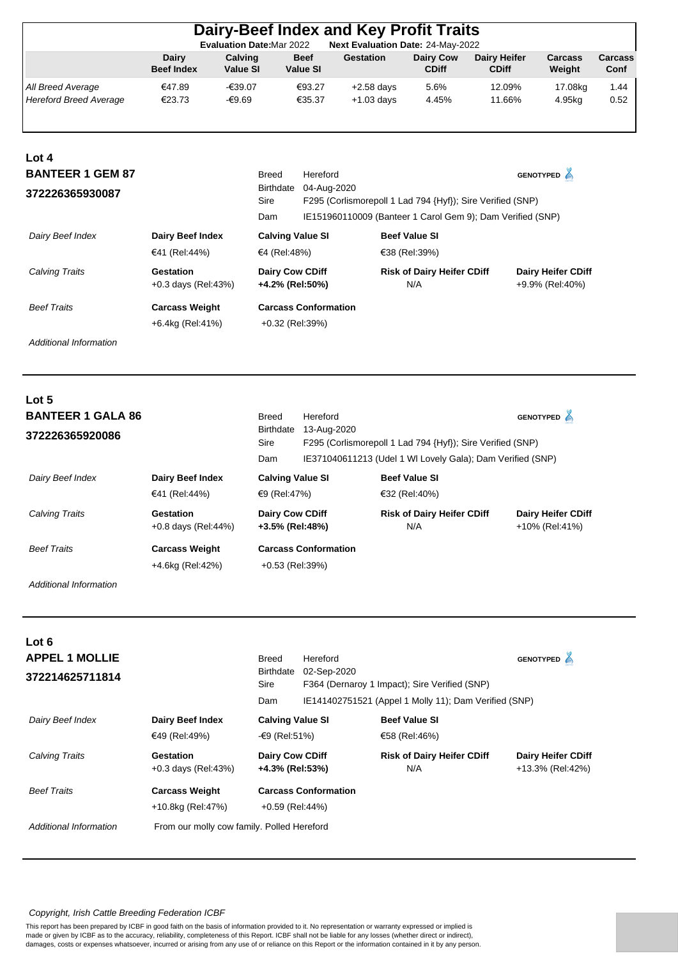|                                                     |                                           |                            | Dairy-Beef Index and Key Profit Traits                             |                                                                                                                          |                                          |                              |                                              |                 |
|-----------------------------------------------------|-------------------------------------------|----------------------------|--------------------------------------------------------------------|--------------------------------------------------------------------------------------------------------------------------|------------------------------------------|------------------------------|----------------------------------------------|-----------------|
|                                                     | Dairy<br><b>Beef Index</b>                | Calving<br><b>Value SI</b> | <b>Evaluation Date: Mar 2022</b><br><b>Beef</b><br><b>Value SI</b> | Next Evaluation Date: 24-May-2022<br><b>Gestation</b>                                                                    | <b>Dairy Cow</b><br><b>CDiff</b>         | Dairy Heifer<br><b>CDiff</b> | Carcass<br>Weight                            | Carcass<br>Conf |
| All Breed Average<br><b>Hereford Breed Average</b>  | €47.89<br>€23.73                          | $-639.07$<br>$-€9.69$      | €93.27<br>€35.37                                                   | $+2.58$ days<br>$+1.03$ days                                                                                             | 5.6%<br>4.45%                            | 12.09%<br>11.66%             | 17.08kg<br>4.95kg                            | 1.44<br>0.52    |
| Lot 4<br><b>BANTEER 1 GEM 87</b><br>372226365930087 |                                           |                            | <b>Breed</b><br>Hereford<br>04-Aug-2020<br>Birthdate               |                                                                                                                          |                                          |                              | GENOTYPED A                                  |                 |
|                                                     |                                           |                            | Sire<br>Dam                                                        | F295 (Corlismorepoll 1 Lad 794 {Hyf}); Sire Verified (SNP)<br>IE151960110009 (Banteer 1 Carol Gem 9); Dam Verified (SNP) |                                          |                              |                                              |                 |
| Dairy Beef Index                                    | <b>Dairy Beef Index</b><br>€41 (Rel:44%)  |                            | <b>Calving Value SI</b><br>€4 (Rel:48%)                            |                                                                                                                          | <b>Beef Value SI</b><br>€38 (Rel:39%)    |                              |                                              |                 |
| Calving Traits                                      | <b>Gestation</b><br>$+0.3$ days (Rel:43%) |                            | <b>Dairy Cow CDiff</b><br>+4.2% (Rel:50%)                          |                                                                                                                          | <b>Risk of Dairy Heifer CDiff</b><br>N/A |                              | <b>Dairy Heifer CDiff</b><br>+9.9% (Rel:40%) |                 |

| <b>Beef Traits</b> | <b>Carcass Weight</b> | <b>Carcass Conformation</b> |
|--------------------|-----------------------|-----------------------------|
|                    | +6.4kg (Rel:41%)      | +0.32 (Rel:39%)             |

*Additional Information*

**Lot 5**

| <b>BANTEER 1 GALA 86</b><br>372226365920086 | <b>Breed</b><br><b>Birthdate</b><br>Sire<br>Dam | Hereford<br>13-Aug-2020                   | F295 (Corlismorepoll 1 Lad 794 {Hyf}); Sire Verified (SNP)<br>IE371040611213 (Udel 1 WI Lovely Gala); Dam Verified (SNP) | <b>GENOTYPED</b>                         |                                             |
|---------------------------------------------|-------------------------------------------------|-------------------------------------------|--------------------------------------------------------------------------------------------------------------------------|------------------------------------------|---------------------------------------------|
| Dairy Beef Index                            | Dairy Beef Index<br>€41 (Rel:44%)               | <b>Calving Value SI</b><br>€9 (Rel:47%)   | <b>Beef Value SI</b><br>€32 (Rel:40%)                                                                                    |                                          |                                             |
| Calving Traits                              | Gestation<br>$+0.8$ days (Rel: 44%)             | <b>Dairy Cow CDiff</b><br>+3.5% (Rel:48%) |                                                                                                                          | <b>Risk of Dairy Heifer CDiff</b><br>N/A | <b>Dairy Heifer CDiff</b><br>+10% (Rel:41%) |
| <b>Beef Traits</b>                          | <b>Carcass Weight</b><br>+4.6kg (Rel:42%)       | $+0.53$ (Rel:39%)                         | <b>Carcass Conformation</b>                                                                                              |                                          |                                             |

*Additional Information*

| Lot 6<br><b>APPEL 1 MOLLIE</b><br>372214625711814 |                                            | <b>Breed</b><br>Birthdate<br>Sire<br>Dam  | Hereford<br>02-Sep-2020     | F364 (Dernaroy 1 Impact); Sire Verified (SNP)<br>IE141402751521 (Appel 1 Molly 11); Dam Verified (SNP) | <b>GENOTYPED</b> A                            |
|---------------------------------------------------|--------------------------------------------|-------------------------------------------|-----------------------------|--------------------------------------------------------------------------------------------------------|-----------------------------------------------|
| Dairy Beef Index                                  | <b>Dairy Beef Index</b><br>€49 (Rel:49%)   | <b>Calving Value SI</b><br>-€9 (Rel:51%)  |                             | <b>Beef Value SI</b><br>€58 (Rel:46%)                                                                  |                                               |
| <b>Calving Traits</b>                             | Gestation<br>$+0.3$ days (Rel:43%)         | <b>Dairy Cow CDiff</b><br>+4.3% (Rel:53%) |                             | <b>Risk of Dairy Heifer CDiff</b><br>N/A                                                               | <b>Dairy Heifer CDiff</b><br>+13.3% (Rel:42%) |
| <b>Beef Traits</b>                                | <b>Carcass Weight</b><br>+10.8kg (Rel:47%) | +0.59 (Rel:44%)                           | <b>Carcass Conformation</b> |                                                                                                        |                                               |
| Additional Information                            | From our molly cow family. Polled Hereford |                                           |                             |                                                                                                        |                                               |

# *Copyright, Irish Cattle Breeding Federation ICBF*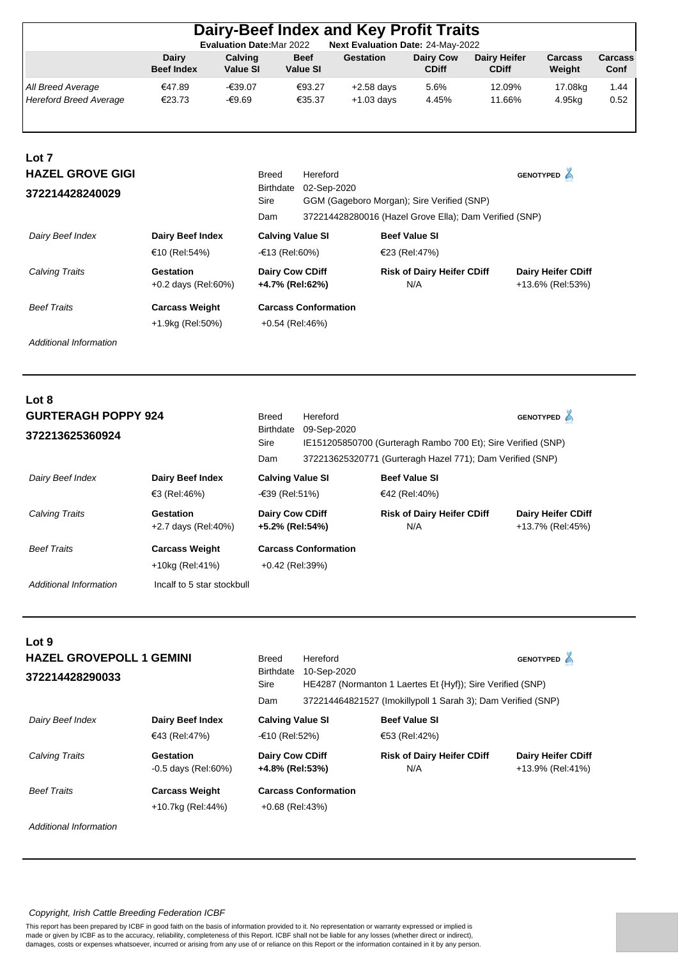|                               |                                   |                                  |                                | Dairy-Beef Index and Key Profit Traits                 |                                  |                                     |                          |                        |
|-------------------------------|-----------------------------------|----------------------------------|--------------------------------|--------------------------------------------------------|----------------------------------|-------------------------------------|--------------------------|------------------------|
|                               |                                   | <b>Evaluation Date: Mar 2022</b> |                                | Next Evaluation Date: 24-May-2022                      |                                  |                                     |                          |                        |
|                               | <b>Dairy</b><br><b>Beef Index</b> | Calving<br><b>Value SI</b>       | <b>Beef</b><br><b>Value SI</b> | <b>Gestation</b>                                       | <b>Dairy Cow</b><br><b>CDiff</b> | <b>Dairy Heifer</b><br><b>CDiff</b> | <b>Carcass</b><br>Weight | <b>Carcass</b><br>Conf |
| All Breed Average             | €47.89                            | $-639.07$                        | €93.27                         | $+2.58$ days                                           | 5.6%                             | 12.09%                              | 17.08kg                  | 1.44                   |
| <b>Hereford Breed Average</b> | €23.73                            | -€9.69                           | €35.37                         | $+1.03$ days                                           | 4.45%                            | 11.66%                              | 4.95kg                   | 0.52                   |
|                               |                                   |                                  |                                |                                                        |                                  |                                     |                          |                        |
| Lot 7                         |                                   |                                  |                                |                                                        |                                  |                                     |                          |                        |
| <b>HAZEL GROVE GIGI</b>       |                                   | <b>Breed</b>                     | Hereford                       |                                                        |                                  |                                     | GENOTYPED A              |                        |
| 372214428240029               |                                   |                                  | Birthdate                      | 02-Sep-2020                                            |                                  |                                     |                          |                        |
|                               |                                   | Sire                             |                                | GGM (Gageboro Morgan); Sire Verified (SNP)             |                                  |                                     |                          |                        |
|                               |                                   | Dam                              |                                | 372214428280016 (Hazel Grove Ella); Dam Verified (SNP) |                                  |                                     |                          |                        |
| Dairy Beef Index              | <b>Dairy Beef Index</b>           |                                  | <b>Calving Value SI</b>        |                                                        | <b>Beef Value SI</b>             |                                     |                          |                        |

| Calving Traits     | Gestation<br>$+0.2$ days (Rel:60%) | <b>Dairy Cow CDiff</b><br>+4.7% (Rel:62%) | <b>Risk of Dairy Heifer CDiff</b><br>N/A | <b>Dairy Heifer CDiff</b><br>+13.6% (Rel:53%) |
|--------------------|------------------------------------|-------------------------------------------|------------------------------------------|-----------------------------------------------|
| <b>Beef Traits</b> | <b>Carcass Weight</b>              | <b>Carcass Conformation</b>               |                                          |                                               |
|                    | +1.9kg (Rel:50%)                   | +0.54 (Rel:46%)                           |                                          |                                               |

 $€10 (Rel.54%)$   $-€13 (Rel.60%)$   $€23 (Rel.47%)$ 

*Additional Information*

| Lot 8                      |                                  |                                           |                                                                             |                                                           |                                               |
|----------------------------|----------------------------------|-------------------------------------------|-----------------------------------------------------------------------------|-----------------------------------------------------------|-----------------------------------------------|
| <b>GURTERAGH POPPY 924</b> |                                  | Breed                                     | Hereford                                                                    |                                                           | <b>GENOTYPED</b>                              |
| 372213625360924            |                                  | Birthdate<br>Sire                         | 09-Sep-2020<br>IE151205850700 (Gurteragh Rambo 700 Et); Sire Verified (SNP) |                                                           |                                               |
|                            |                                  | Dam                                       |                                                                             | 372213625320771 (Gurteragh Hazel 771); Dam Verified (SNP) |                                               |
| Dairy Beef Index           | <b>Dairy Beef Index</b>          | <b>Calving Value SI</b>                   |                                                                             | <b>Beef Value SI</b>                                      |                                               |
|                            | €3 (Rel:46%)                     | $-639$ (Rel:51%)                          |                                                                             | €42 (Rel:40%)                                             |                                               |
| <b>Calving Traits</b>      | Gestation<br>+2.7 days (Rel:40%) | <b>Dairy Cow CDiff</b><br>+5.2% (Rel:54%) |                                                                             | <b>Risk of Dairy Heifer CDiff</b><br>N/A                  | <b>Dairy Heifer CDiff</b><br>+13.7% (Rel:45%) |
| <b>Beef Traits</b>         | <b>Carcass Weight</b>            |                                           | <b>Carcass Conformation</b>                                                 |                                                           |                                               |
|                            | +10kg (Rel:41%)                  | $+0.42$ (Rel:39%)                         |                                                                             |                                                           |                                               |
| Additional Information     | Incalf to 5 star stockbull       |                                           |                                                                             |                                                           |                                               |

| Lot 9                           |                                    |                                    |                             |                                                              |                                               |  |  |  |
|---------------------------------|------------------------------------|------------------------------------|-----------------------------|--------------------------------------------------------------|-----------------------------------------------|--|--|--|
| <b>HAZEL GROVEPOLL 1 GEMINI</b> |                                    | Breed<br><b>Birthdate</b>          | Hereford<br>10-Sep-2020     |                                                              | <b>GENOTYPED</b>                              |  |  |  |
| 372214428290033                 |                                    | Sire                               |                             | HE4287 (Normanton 1 Laertes Et {Hyf}); Sire Verified (SNP)   |                                               |  |  |  |
|                                 |                                    | Dam                                |                             | 372214464821527 (Imokillypoll 1 Sarah 3); Dam Verified (SNP) |                                               |  |  |  |
| Dairy Beef Index                | Dairy Beef Index                   | <b>Calving Value SI</b>            |                             | <b>Beef Value SI</b>                                         |                                               |  |  |  |
|                                 | €43 (Rel:47%)                      | -€10 (Rel:52%)                     |                             | €53 (Rel:42%)                                                |                                               |  |  |  |
| <b>Calving Traits</b>           | Gestation<br>$-0.5$ days (Rel:60%) | Dairy Cow CDiff<br>+4.8% (Rel:53%) |                             | <b>Risk of Dairy Heifer CDiff</b><br>N/A                     | <b>Dairy Heifer CDiff</b><br>+13.9% (Rel:41%) |  |  |  |
| <b>Beef Traits</b>              | <b>Carcass Weight</b>              |                                    | <b>Carcass Conformation</b> |                                                              |                                               |  |  |  |
|                                 | +10.7kg (Rel:44%)                  | +0.68 (Rel:43%)                    |                             |                                                              |                                               |  |  |  |
| Additional Information          |                                    |                                    |                             |                                                              |                                               |  |  |  |

## *Copyright, Irish Cattle Breeding Federation ICBF*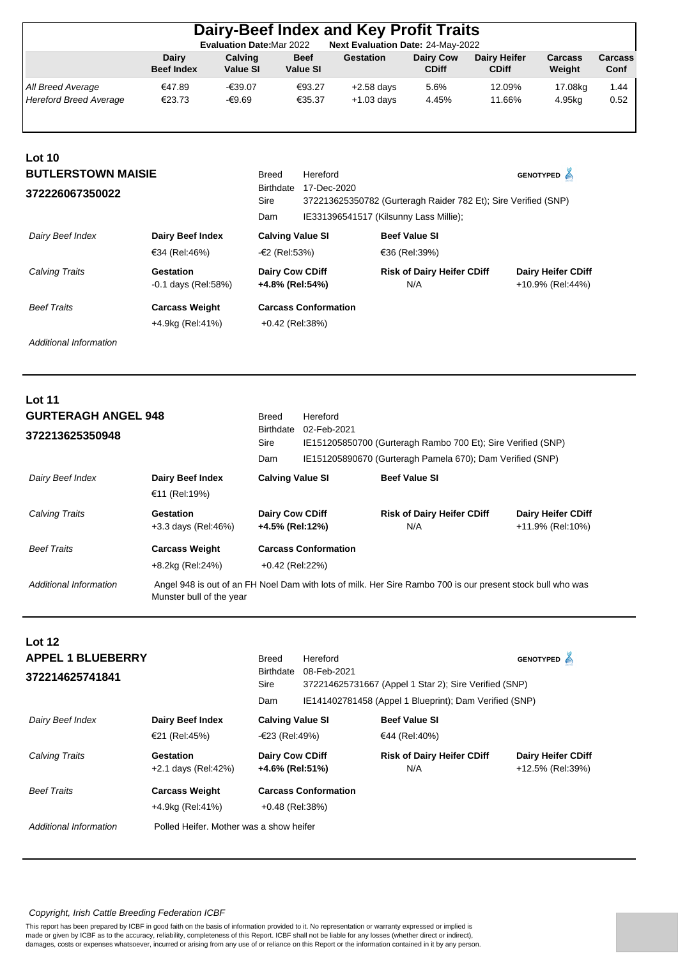|                                             |                            | <b>Evaluation Date: Mar 2022</b> |                                | Dairy-Beef Index and Key Profit Traits<br>Next Evaluation Date: 24-May-2022 |                                  |                                     |                   |                 |
|---------------------------------------------|----------------------------|----------------------------------|--------------------------------|-----------------------------------------------------------------------------|----------------------------------|-------------------------------------|-------------------|-----------------|
|                                             | Dairy<br><b>Beef Index</b> | Calving<br><b>Value SI</b>       | <b>Beef</b><br><b>Value SI</b> | Gestation                                                                   | <b>Dairy Cow</b><br><b>CDiff</b> | <b>Dairy Heifer</b><br><b>CDiff</b> | Carcass<br>Weight | Carcass<br>Conf |
| All Breed Average<br>Hereford Breed Average | €47.89<br>€23.73           | -€39.07<br>-€9.69                | €93.27<br>€35.37               | $+2.58$ days<br>$+1.03$ days                                                | 5.6%<br>4.45%                    | 12.09%<br>11.66%                    | 17.08kg<br>4.95kg | 1.44<br>0.52    |
| Lot 10<br><b>BUTLERSTOWN MAISIE</b>         |                            | <b>Breed</b>                     | Hereford                       |                                                                             |                                  |                                     | <b>GENOTYPED</b>  |                 |

| 372226067350022    |                                    | 17-Dec-2020<br><b>Birthdate</b><br>Sire<br>Dam |                             | 372213625350782 (Gurteragh Raider 782 Et); Sire Verified (SNP)<br>IE331396541517 (Kilsunny Lass Millie); |                                               |  |
|--------------------|------------------------------------|------------------------------------------------|-----------------------------|----------------------------------------------------------------------------------------------------------|-----------------------------------------------|--|
| Dairy Beef Index   | Dairy Beef Index<br>€34 (Rel:46%)  | <b>Calving Value SI</b><br>-€2 (Rel:53%)       |                             | <b>Beef Value SI</b><br>€36 (Rel:39%)                                                                    |                                               |  |
| Calving Traits     | Gestation<br>$-0.1$ days (Rel:58%) | <b>Dairy Cow CDiff</b><br>+4.8% (Rel:54%)      |                             | <b>Risk of Dairy Heifer CDiff</b><br>N/A                                                                 | <b>Dairy Heifer CDiff</b><br>+10.9% (Rel:44%) |  |
| <b>Beef Traits</b> | <b>Carcass Weight</b>              |                                                | <b>Carcass Conformation</b> |                                                                                                          |                                               |  |
|                    | +4.9kg (Rel:41%)                   | $+0.42$ (Rel:38%)                              |                             |                                                                                                          |                                               |  |

*Additional Information*

| <b>Lot 11</b><br><b>GURTERAGH ANGEL 948</b><br>372213625350948 |                                           | <b>Breed</b><br>Birthdate<br>Sire<br>Dam | Hereford<br>02-Feb-2021     | IE151205850700 (Gurteragh Rambo 700 Et); Sire Verified (SNP)<br>IE151205890670 (Gurteragh Pamela 670); Dam Verified (SNP) |                                               |
|----------------------------------------------------------------|-------------------------------------------|------------------------------------------|-----------------------------|---------------------------------------------------------------------------------------------------------------------------|-----------------------------------------------|
| Dairy Beef Index                                               | <b>Dairy Beef Index</b><br>€11 (Rel:19%)  | <b>Calving Value SI</b>                  |                             | <b>Beef Value SI</b>                                                                                                      |                                               |
| <b>Calving Traits</b>                                          | Gestation<br>+3.3 days (Rel:46%)          | Dairy Cow CDiff<br>+4.5% (Rel:12%)       |                             | <b>Risk of Dairy Heifer CDiff</b><br>N/A                                                                                  | <b>Dairy Heifer CDiff</b><br>+11.9% (Rel:10%) |
| <b>Beef Traits</b>                                             | <b>Carcass Weight</b><br>+8.2kg (Rel:24%) | $+0.42$ (Rel:22%)                        | <b>Carcass Conformation</b> |                                                                                                                           |                                               |
| Additional Information                                         | Munster bull of the year                  |                                          |                             | Angel 948 is out of an FH Noel Dam with lots of milk. Her Sire Rambo 700 is our present stock bull who was                |                                               |

| <b>Lot 12</b>            |                                         |                                           |                                                       |                                                        |                                               |  |  |
|--------------------------|-----------------------------------------|-------------------------------------------|-------------------------------------------------------|--------------------------------------------------------|-----------------------------------------------|--|--|
| <b>APPEL 1 BLUEBERRY</b> |                                         | <b>Breed</b>                              | Hereford                                              |                                                        | <b>GENOTYPED</b>                              |  |  |
| 372214625741841          |                                         | <b>Birthdate</b>                          | 08-Feb-2021                                           |                                                        |                                               |  |  |
|                          |                                         | <b>Sire</b>                               | 372214625731667 (Appel 1 Star 2); Sire Verified (SNP) |                                                        |                                               |  |  |
|                          |                                         | Dam                                       |                                                       | IE141402781458 (Appel 1 Blueprint); Dam Verified (SNP) |                                               |  |  |
| Dairy Beef Index         | Dairy Beef Index                        | <b>Calving Value SI</b>                   |                                                       | <b>Beef Value SI</b>                                   |                                               |  |  |
|                          | €21 (Rel:45%)                           | $-623$ (Rel:49%)                          |                                                       | €44 (Rel:40%)                                          |                                               |  |  |
| <b>Calving Traits</b>    | Gestation<br>+2.1 days (Rel:42%)        | <b>Dairy Cow CDiff</b><br>+4.6% (Rel:51%) |                                                       | <b>Risk of Dairy Heifer CDiff</b><br>N/A               | <b>Dairy Heifer CDiff</b><br>+12.5% (Rel:39%) |  |  |
| <b>Beef Traits</b>       | <b>Carcass Weight</b>                   | <b>Carcass Conformation</b>               |                                                       |                                                        |                                               |  |  |
|                          | +4.9kg (Rel:41%)                        | $+0.48$ (Rel:38%)                         |                                                       |                                                        |                                               |  |  |
| Additional Information   | Polled Heifer. Mother was a show heifer |                                           |                                                       |                                                        |                                               |  |  |

#### *Copyright, Irish Cattle Breeding Federation ICBF*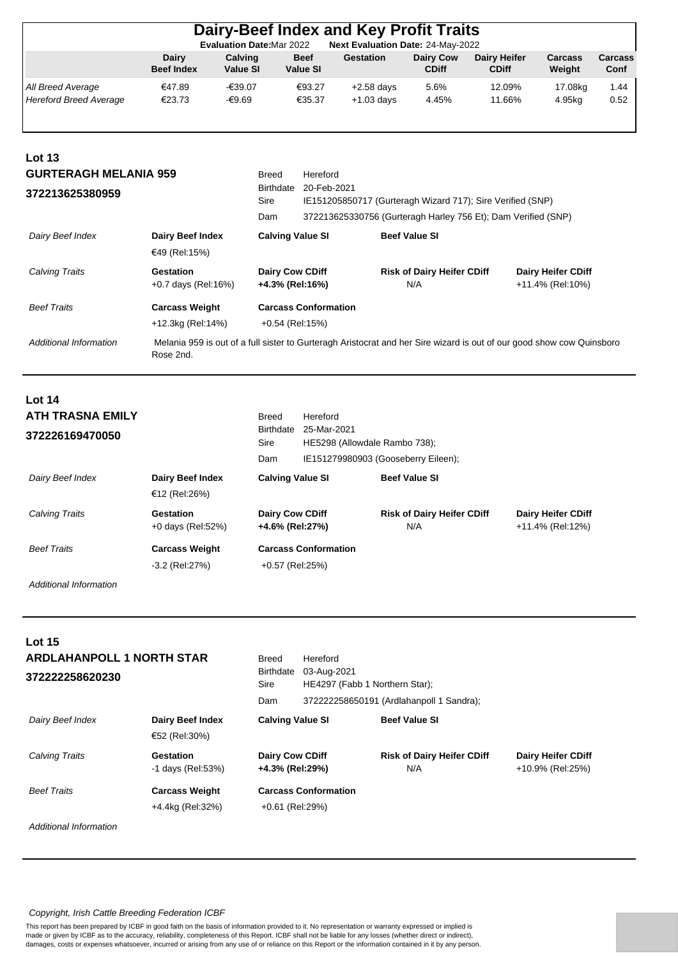|                                                             |                                            |                            | <b>Evaluation Date:Mar 2022</b>                      | Dairy-Beef Index and Key Profit Traits<br>Next Evaluation Date: 24-May-2022 |                                          |                                     |                                               |                 |
|-------------------------------------------------------------|--------------------------------------------|----------------------------|------------------------------------------------------|-----------------------------------------------------------------------------|------------------------------------------|-------------------------------------|-----------------------------------------------|-----------------|
|                                                             | Dairy<br><b>Beef Index</b>                 | Calving<br><b>Value SI</b> | <b>Beef</b><br><b>Value SI</b>                       | <b>Gestation</b>                                                            | <b>Dairy Cow</b><br><b>CDiff</b>         | <b>Dairy Heifer</b><br><b>CDiff</b> | Carcass<br>Weight                             | Carcass<br>Conf |
| All Breed Average<br><b>Hereford Breed Average</b>          | €47.89<br>€23.73                           | -€39.07<br>-€9.69          | €93.27<br>€35.37                                     | $+2.58$ days<br>$+1.03$ days                                                | 5.6%<br>4.45%                            | 12.09%<br>11.66%                    | 17.08kg<br>4.95kg                             | 1.44<br>0.52    |
| Lot $13$<br><b>GURTERAGH MELANIA 959</b><br>372213625380959 |                                            |                            | Hereford<br><b>Breed</b><br>Birthdate<br><b>Sire</b> | 20-Feb-2021<br>IE151205850717 (Gurteragh Wizard 717); Sire Verified (SNP)   |                                          |                                     |                                               |                 |
|                                                             |                                            |                            | Dam                                                  | 372213625330756 (Gurteragh Harley 756 Et); Dam Verified (SNP)               |                                          |                                     |                                               |                 |
| Dairy Beef Index                                            | Dairy Beef Index<br>€49 (Rel:15%)          |                            | <b>Calving Value SI</b>                              |                                                                             | <b>Beef Value SI</b>                     |                                     |                                               |                 |
| Calving Traits                                              | Gestation<br>+0.7 days (Rel:16%)           |                            | Dairy Cow CDiff<br>+4.3% (Rel:16%)                   |                                                                             | <b>Risk of Dairy Heifer CDiff</b><br>N/A |                                     | <b>Dairy Heifer CDiff</b><br>+11.4% (Rel:10%) |                 |
| <b>Beef Traits</b>                                          | <b>Carcass Weight</b><br>+12.3kg (Rel:14%) |                            | <b>Carcass Conformation</b><br>+0.54 (Rel:15%)       |                                                                             |                                          |                                     |                                               |                 |

*Additional Information*

 Melania 959 is out of a full sister to Gurteragh Aristocrat and her Sire wizard is out of our good show cow Quinsboro Rose 2nd.

# **Lot 14 372226169470050** 25-Mar-2021 **ATH TRASNA EMILY**

| 37222010947UU3U    |                                         | Sire                                      | HE5298 (Allowdale Rambo 738); |                                          |                                               |
|--------------------|-----------------------------------------|-------------------------------------------|-------------------------------|------------------------------------------|-----------------------------------------------|
|                    |                                         | Dam                                       |                               | IE151279980903 (Gooseberry Eileen);      |                                               |
| Dairy Beef Index   | Dairy Beef Index<br>€12 (Rel:26%)       | <b>Calving Value SI</b>                   |                               | <b>Beef Value SI</b>                     |                                               |
| Calving Traits     | Gestation<br>+0 days (Rel:52%)          | <b>Dairy Cow CDiff</b><br>+4.6% (Rel:27%) |                               | <b>Risk of Dairy Heifer CDiff</b><br>N/A | <b>Dairy Heifer CDiff</b><br>+11.4% (Rel:12%) |
| <b>Beef Traits</b> | <b>Carcass Weight</b><br>-3.2 (Rel:27%) | +0.57 (Rel:25%)                           | <b>Carcass Conformation</b>   |                                          |                                               |

Hereford

Birthdate 25-Mar-2021

Breed

*Additional Information*

| <b>Lot 15</b>                                       |                                           |                                           |                                                                                                       |                                          |                                               |  |  |
|-----------------------------------------------------|-------------------------------------------|-------------------------------------------|-------------------------------------------------------------------------------------------------------|------------------------------------------|-----------------------------------------------|--|--|
| <b>ARDLAHANPOLL 1 NORTH STAR</b><br>372222258620230 |                                           | Breed<br><b>Birthdate</b><br>Sire<br>Dam  | Hereford<br>03-Aug-2021<br>HE4297 (Fabb 1 Northern Star);<br>372222258650191 (Ardlahanpoll 1 Sandra); |                                          |                                               |  |  |
| Dairy Beef Index                                    | Dairy Beef Index<br>€52 (Rel:30%)         | <b>Calving Value SI</b>                   |                                                                                                       | <b>Beef Value SI</b>                     |                                               |  |  |
| Calving Traits                                      | Gestation<br>-1 days (Rel:53%)            | <b>Dairy Cow CDiff</b><br>+4.3% (Rel:29%) |                                                                                                       | <b>Risk of Dairy Heifer CDiff</b><br>N/A | <b>Dairy Heifer CDiff</b><br>+10.9% (Rel:25%) |  |  |
| <b>Beef Traits</b>                                  | <b>Carcass Weight</b><br>+4.4kg (Rel:32%) | +0.61 (Rel:29%)                           | <b>Carcass Conformation</b>                                                                           |                                          |                                               |  |  |

*Additional Information*

## *Copyright, Irish Cattle Breeding Federation ICBF*